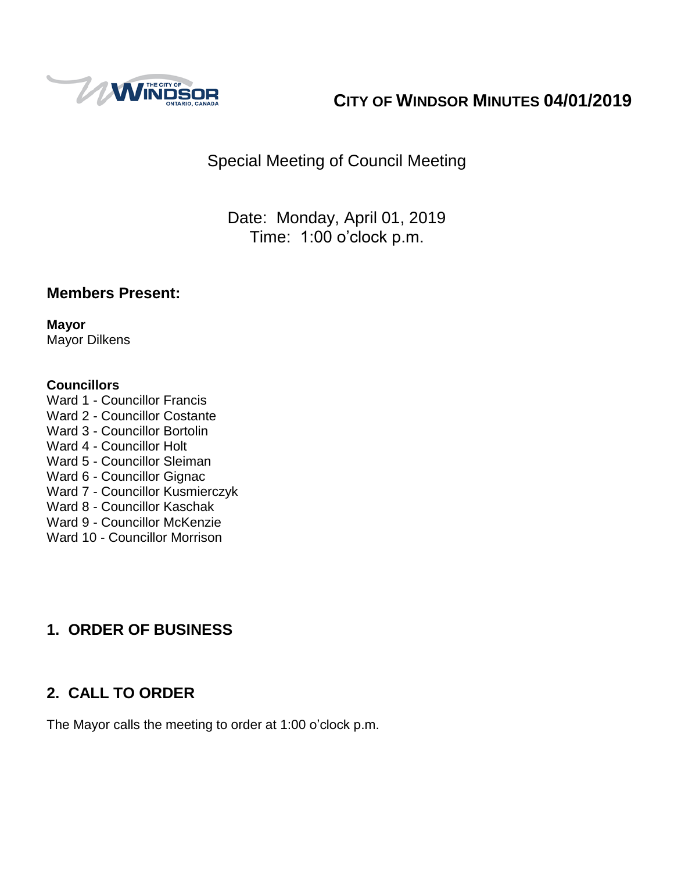

# **CITY OF WINDSOR MINUTES 04/01/2019**

Special Meeting of Council Meeting

Date: Monday, April 01, 2019 Time: 1:00 o'clock p.m.

## **Members Present:**

**Mayor** Mayor Dilkens

### **Councillors**

Ward 1 - Councillor Francis Ward 2 - Councillor Costante Ward 3 - Councillor Bortolin Ward 4 - Councillor Holt Ward 5 - Councillor Sleiman Ward 6 - Councillor Gignac Ward 7 - Councillor Kusmierczyk Ward 8 - Councillor Kaschak Ward 9 - Councillor McKenzie Ward 10 - Councillor Morrison

## **1. ORDER OF BUSINESS**

## **2. CALL TO ORDER**

The Mayor calls the meeting to order at 1:00 o'clock p.m.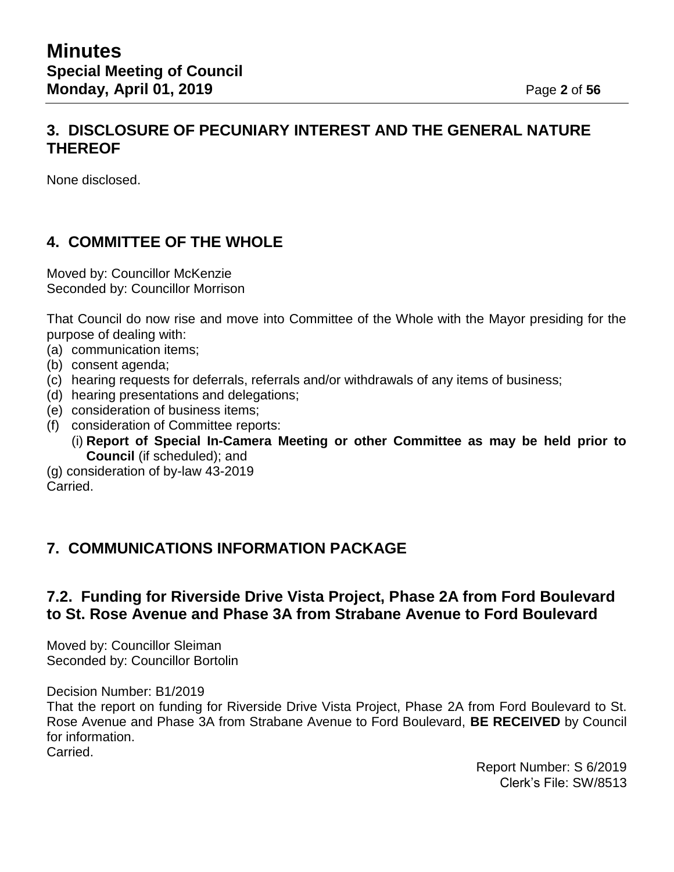## **3. DISCLOSURE OF PECUNIARY INTEREST AND THE GENERAL NATURE THEREOF**

None disclosed.

## **4. COMMITTEE OF THE WHOLE**

Moved by: Councillor McKenzie Seconded by: Councillor Morrison

That Council do now rise and move into Committee of the Whole with the Mayor presiding for the purpose of dealing with:

- (a) communication items;
- (b) consent agenda;
- (c) hearing requests for deferrals, referrals and/or withdrawals of any items of business;
- (d) hearing presentations and delegations;
- (e) consideration of business items;
- (f) consideration of Committee reports:
	- (i) **Report of Special In-Camera Meeting or other Committee as may be held prior to Council** (if scheduled); and
- (g) consideration of by-law 43-2019 Carried.

## **7. COMMUNICATIONS INFORMATION PACKAGE**

## **7.2. Funding for Riverside Drive Vista Project, Phase 2A from Ford Boulevard to St. Rose Avenue and Phase 3A from Strabane Avenue to Ford Boulevard**

Moved by: Councillor Sleiman Seconded by: Councillor Bortolin

Decision Number: B1/2019

That the report on funding for Riverside Drive Vista Project, Phase 2A from Ford Boulevard to St. Rose Avenue and Phase 3A from Strabane Avenue to Ford Boulevard, **BE RECEIVED** by Council for information.

Carried.

Report Number: S 6/2019 Clerk's File: SW/8513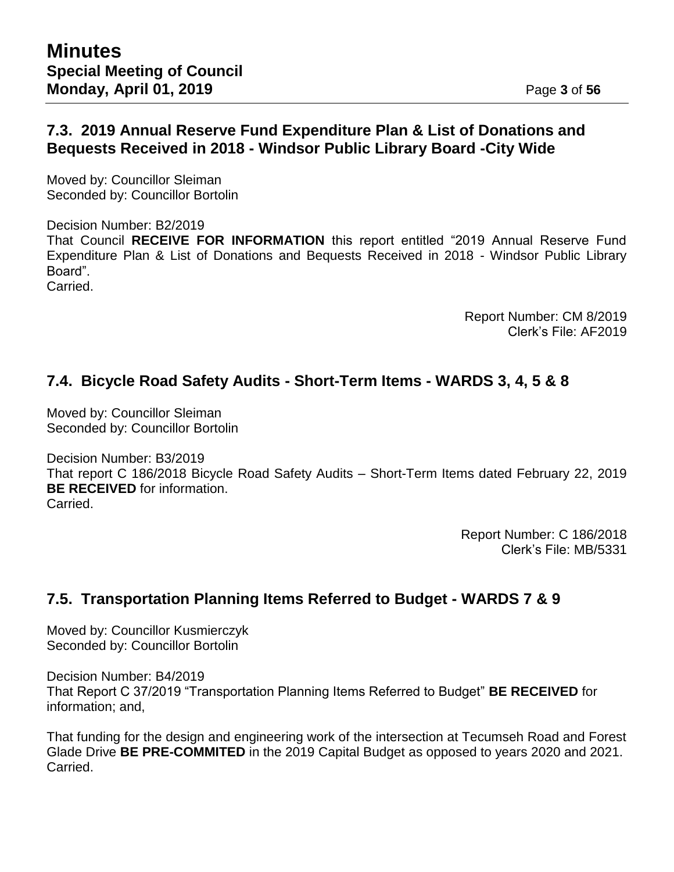## **7.3. 2019 Annual Reserve Fund Expenditure Plan & List of Donations and Bequests Received in 2018 - Windsor Public Library Board -City Wide**

Moved by: Councillor Sleiman Seconded by: Councillor Bortolin

Decision Number: B2/2019 That Council **RECEIVE FOR INFORMATION** this report entitled "2019 Annual Reserve Fund Expenditure Plan & List of Donations and Bequests Received in 2018 - Windsor Public Library Board". Carried.

> Report Number: CM 8/2019 Clerk's File: AF2019

## **7.4. Bicycle Road Safety Audits - Short-Term Items - WARDS 3, 4, 5 & 8**

Moved by: Councillor Sleiman Seconded by: Councillor Bortolin

Decision Number: B3/2019 That report C 186/2018 Bicycle Road Safety Audits – Short-Term Items dated February 22, 2019 **BE RECEIVED** for information. Carried.

> Report Number: C 186/2018 Clerk's File: MB/5331

## **7.5. Transportation Planning Items Referred to Budget - WARDS 7 & 9**

Moved by: Councillor Kusmierczyk Seconded by: Councillor Bortolin

Decision Number: B4/2019 That Report C 37/2019 "Transportation Planning Items Referred to Budget" **BE RECEIVED** for information; and,

That funding for the design and engineering work of the intersection at Tecumseh Road and Forest Glade Drive **BE PRE-COMMITED** in the 2019 Capital Budget as opposed to years 2020 and 2021. Carried.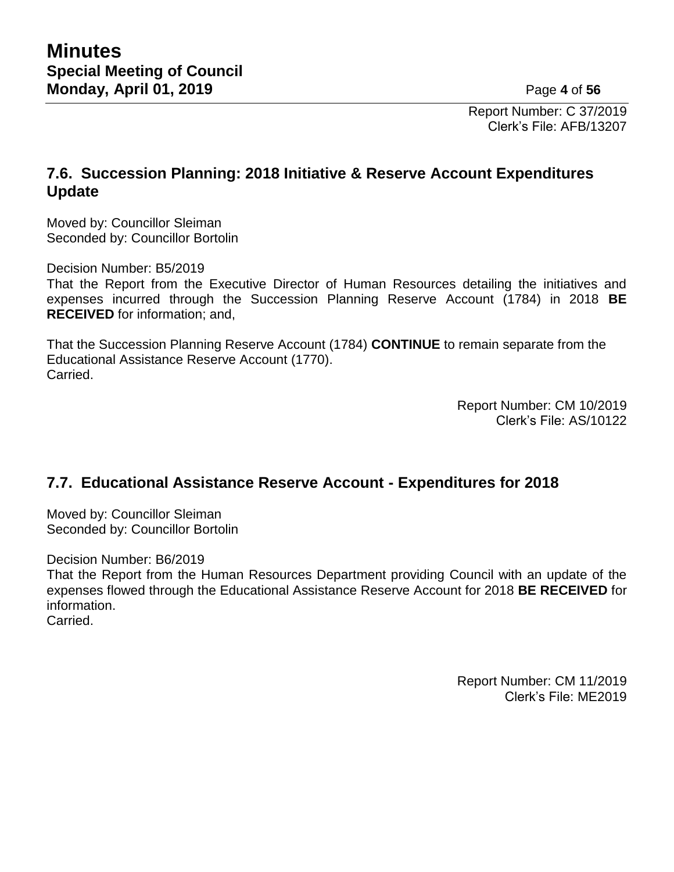Report Number: C 37/2019 Clerk's File: AFB/13207

## **7.6. Succession Planning: 2018 Initiative & Reserve Account Expenditures Update**

Moved by: Councillor Sleiman Seconded by: Councillor Bortolin

Decision Number: B5/2019

That the Report from the Executive Director of Human Resources detailing the initiatives and expenses incurred through the Succession Planning Reserve Account (1784) in 2018 **BE RECEIVED** for information; and,

That the Succession Planning Reserve Account (1784) **CONTINUE** to remain separate from the Educational Assistance Reserve Account (1770). Carried.

> Report Number: CM 10/2019 Clerk's File: AS/10122

## **7.7. Educational Assistance Reserve Account - Expenditures for 2018**

Moved by: Councillor Sleiman Seconded by: Councillor Bortolin

Decision Number: B6/2019

That the Report from the Human Resources Department providing Council with an update of the expenses flowed through the Educational Assistance Reserve Account for 2018 **BE RECEIVED** for information.

Carried.

Report Number: CM 11/2019 Clerk's File: ME2019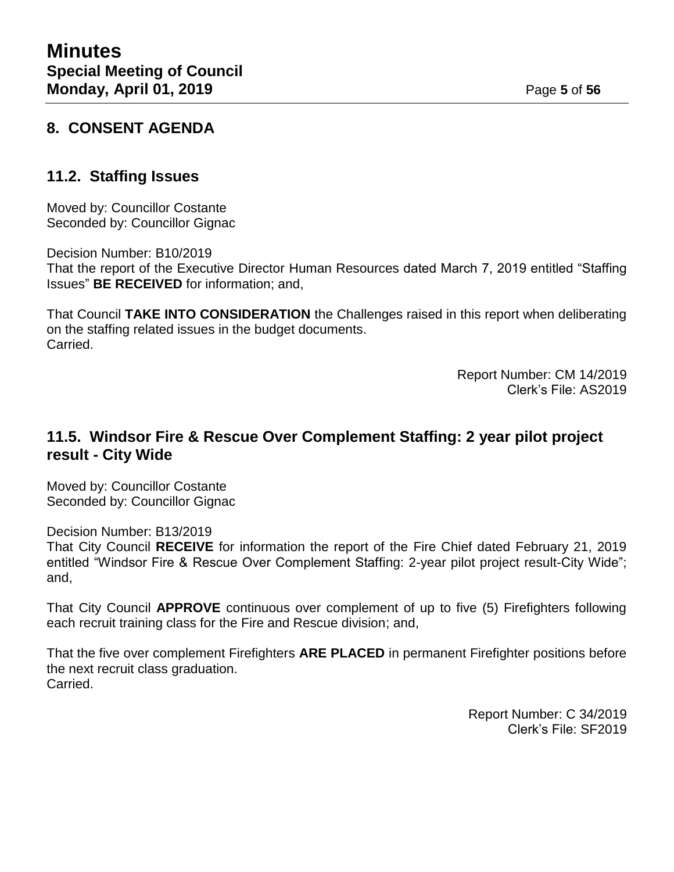## **8. CONSENT AGENDA**

## **11.2. Staffing Issues**

Moved by: Councillor Costante Seconded by: Councillor Gignac

Decision Number: B10/2019

That the report of the Executive Director Human Resources dated March 7, 2019 entitled "Staffing Issues" **BE RECEIVED** for information; and,

That Council **TAKE INTO CONSIDERATION** the Challenges raised in this report when deliberating on the staffing related issues in the budget documents. Carried.

> Report Number: CM 14/2019 Clerk's File: AS2019

## **11.5. Windsor Fire & Rescue Over Complement Staffing: 2 year pilot project result - City Wide**

Moved by: Councillor Costante Seconded by: Councillor Gignac

Decision Number: B13/2019 That City Council **RECEIVE** for information the report of the Fire Chief dated February 21, 2019 entitled "Windsor Fire & Rescue Over Complement Staffing: 2-year pilot project result-City Wide"; and,

That City Council **APPROVE** continuous over complement of up to five (5) Firefighters following each recruit training class for the Fire and Rescue division; and,

That the five over complement Firefighters **ARE PLACED** in permanent Firefighter positions before the next recruit class graduation. Carried.

> Report Number: C 34/2019 Clerk's File: SF2019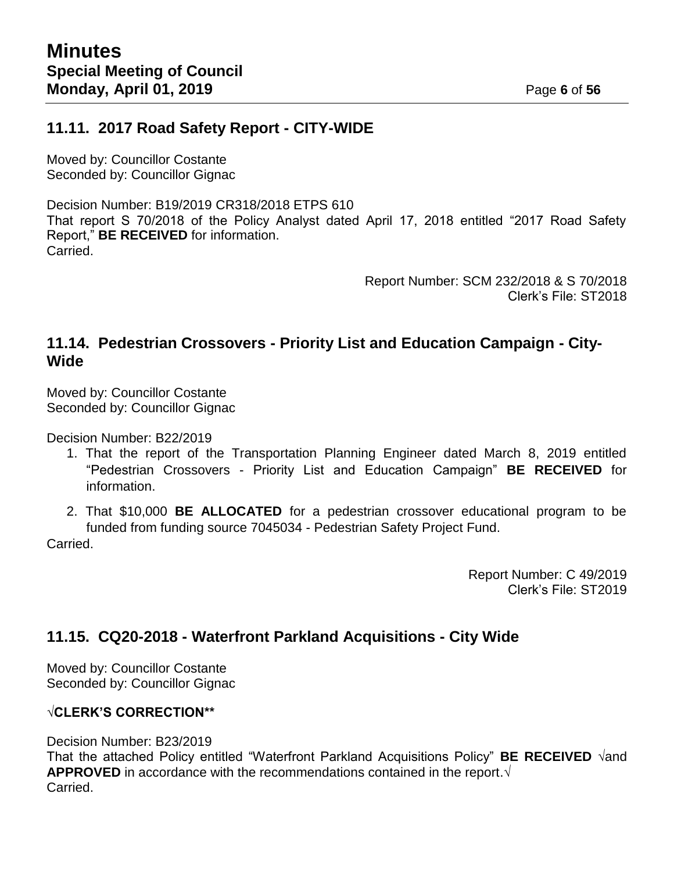## **11.11. 2017 Road Safety Report - CITY-WIDE**

Moved by: Councillor Costante Seconded by: Councillor Gignac

Decision Number: B19/2019 CR318/2018 ETPS 610 That report S 70/2018 of the Policy Analyst dated April 17, 2018 entitled "2017 Road Safety Report," **BE RECEIVED** for information. Carried.

> Report Number: SCM 232/2018 & S 70/2018 Clerk's File: ST2018

## **11.14. Pedestrian Crossovers - Priority List and Education Campaign - City-Wide**

Moved by: Councillor Costante Seconded by: Councillor Gignac

Decision Number: B22/2019

- 1. That the report of the Transportation Planning Engineer dated March 8, 2019 entitled "Pedestrian Crossovers - Priority List and Education Campaign" **BE RECEIVED** for information.
- 2. That \$10,000 **BE ALLOCATED** for a pedestrian crossover educational program to be funded from funding source 7045034 - Pedestrian Safety Project Fund.

Carried.

Report Number: C 49/2019 Clerk's File: ST2019

## **11.15. CQ20-2018 - Waterfront Parkland Acquisitions - City Wide**

Moved by: Councillor Costante Seconded by: Councillor Gignac

## **√CLERK'S CORRECTION\*\***

Decision Number: B23/2019

That the attached Policy entitled "Waterfront Parkland Acquisitions Policy" **BE RECEIVED √**and **APPROVED** in accordance with the recommendations contained in the report.**√** Carried.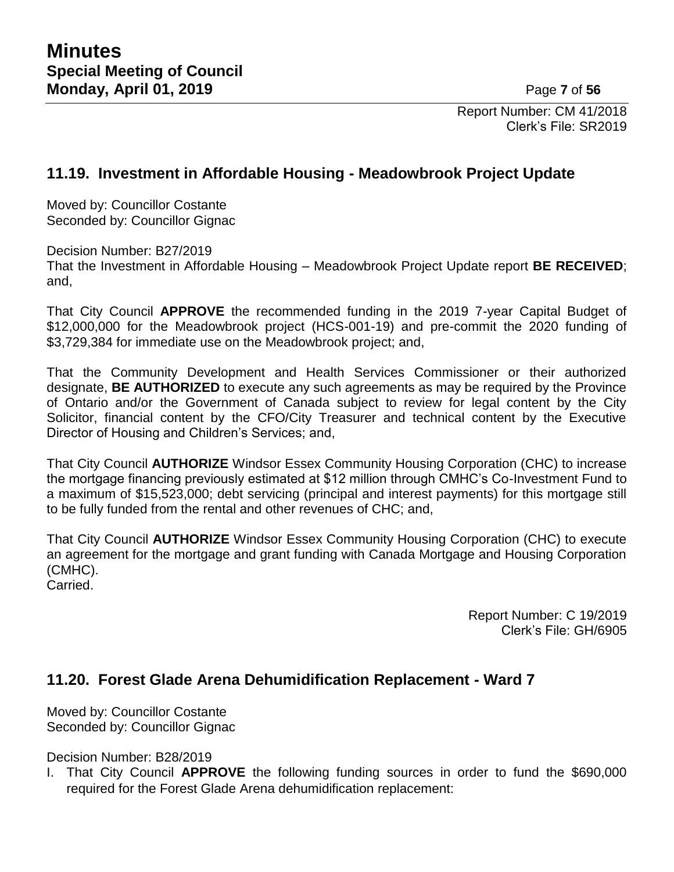Report Number: CM 41/2018 Clerk's File: SR2019

## **11.19. Investment in Affordable Housing - Meadowbrook Project Update**

Moved by: Councillor Costante Seconded by: Councillor Gignac

Decision Number: B27/2019

That the Investment in Affordable Housing – Meadowbrook Project Update report **BE RECEIVED**; and,

That City Council **APPROVE** the recommended funding in the 2019 7-year Capital Budget of \$12,000,000 for the Meadowbrook project (HCS-001-19) and pre-commit the 2020 funding of \$3,729,384 for immediate use on the Meadowbrook project; and,

That the Community Development and Health Services Commissioner or their authorized designate, **BE AUTHORIZED** to execute any such agreements as may be required by the Province of Ontario and/or the Government of Canada subject to review for legal content by the City Solicitor, financial content by the CFO/City Treasurer and technical content by the Executive Director of Housing and Children's Services; and,

That City Council **AUTHORIZE** Windsor Essex Community Housing Corporation (CHC) to increase the mortgage financing previously estimated at \$12 million through CMHC's Co-Investment Fund to a maximum of \$15,523,000; debt servicing (principal and interest payments) for this mortgage still to be fully funded from the rental and other revenues of CHC; and,

That City Council **AUTHORIZE** Windsor Essex Community Housing Corporation (CHC) to execute an agreement for the mortgage and grant funding with Canada Mortgage and Housing Corporation (CMHC).

Carried.

Report Number: C 19/2019 Clerk's File: GH/6905

## **11.20. Forest Glade Arena Dehumidification Replacement - Ward 7**

Moved by: Councillor Costante Seconded by: Councillor Gignac

Decision Number: B28/2019

I. That City Council **APPROVE** the following funding sources in order to fund the \$690,000 required for the Forest Glade Arena dehumidification replacement: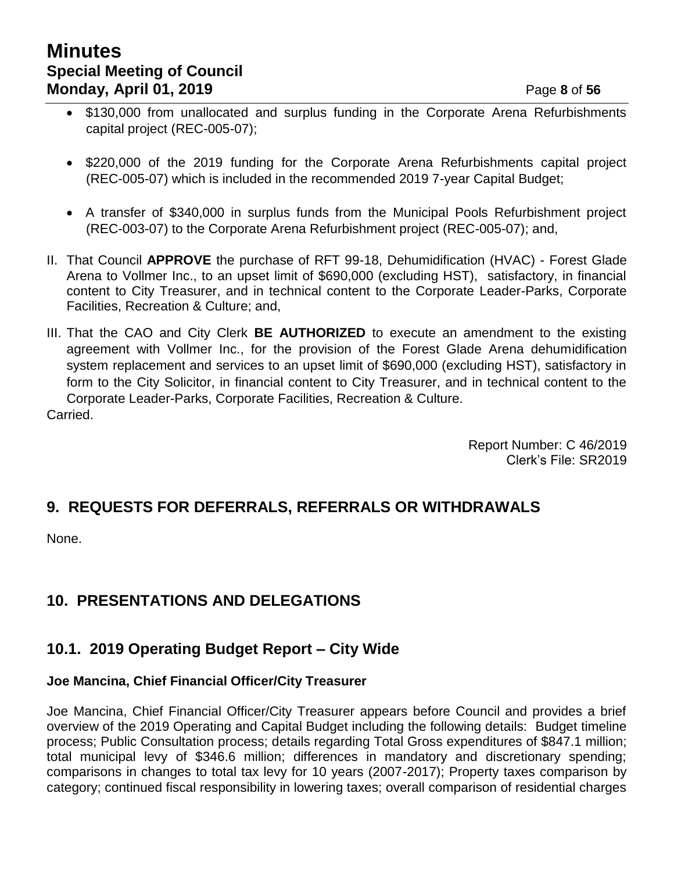# **Minutes Special Meeting of Council Monday, April 01, 2019 Page 8** of 56

- \$130,000 from unallocated and surplus funding in the Corporate Arena Refurbishments capital project (REC-005-07);
- \$220,000 of the 2019 funding for the Corporate Arena Refurbishments capital project (REC-005-07) which is included in the recommended 2019 7-year Capital Budget;
- A transfer of \$340,000 in surplus funds from the Municipal Pools Refurbishment project (REC-003-07) to the Corporate Arena Refurbishment project (REC-005-07); and,
- II. That Council **APPROVE** the purchase of RFT 99-18, Dehumidification (HVAC) Forest Glade Arena to Vollmer Inc., to an upset limit of \$690,000 (excluding HST), satisfactory, in financial content to City Treasurer, and in technical content to the Corporate Leader-Parks, Corporate Facilities, Recreation & Culture; and,
- III. That the CAO and City Clerk **BE AUTHORIZED** to execute an amendment to the existing agreement with Vollmer Inc., for the provision of the Forest Glade Arena dehumidification system replacement and services to an upset limit of \$690,000 (excluding HST), satisfactory in form to the City Solicitor, in financial content to City Treasurer, and in technical content to the Corporate Leader-Parks, Corporate Facilities, Recreation & Culture. Carried.

Report Number: C 46/2019 Clerk's File: SR2019

## **9. REQUESTS FOR DEFERRALS, REFERRALS OR WITHDRAWALS**

None.

# **10. PRESENTATIONS AND DELEGATIONS**

## **10.1. 2019 Operating Budget Report – City Wide**

## **Joe Mancina, Chief Financial Officer/City Treasurer**

Joe Mancina, Chief Financial Officer/City Treasurer appears before Council and provides a brief overview of the 2019 Operating and Capital Budget including the following details: Budget timeline process; Public Consultation process; details regarding Total Gross expenditures of \$847.1 million; total municipal levy of \$346.6 million; differences in mandatory and discretionary spending; comparisons in changes to total tax levy for 10 years (2007-2017); Property taxes comparison by category; continued fiscal responsibility in lowering taxes; overall comparison of residential charges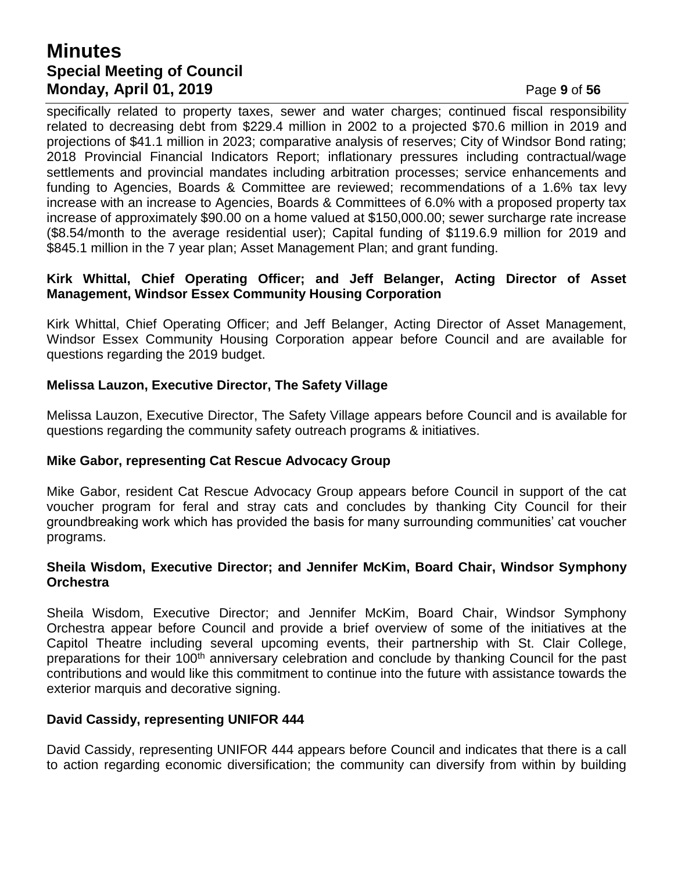## **Minutes Special Meeting of Council Monday, April 01, 2019 Page 9** of 56

specifically related to property taxes, sewer and water charges; continued fiscal responsibility related to decreasing debt from \$229.4 million in 2002 to a projected \$70.6 million in 2019 and projections of \$41.1 million in 2023; comparative analysis of reserves; City of Windsor Bond rating; 2018 Provincial Financial Indicators Report; inflationary pressures including contractual/wage settlements and provincial mandates including arbitration processes; service enhancements and funding to Agencies, Boards & Committee are reviewed; recommendations of a 1.6% tax levy increase with an increase to Agencies, Boards & Committees of 6.0% with a proposed property tax increase of approximately \$90.00 on a home valued at \$150,000.00; sewer surcharge rate increase (\$8.54/month to the average residential user); Capital funding of \$119.6.9 million for 2019 and \$845.1 million in the 7 year plan; Asset Management Plan; and grant funding.

#### **Kirk Whittal, Chief Operating Officer; and Jeff Belanger, Acting Director of Asset Management, Windsor Essex Community Housing Corporation**

Kirk Whittal, Chief Operating Officer; and Jeff Belanger, Acting Director of Asset Management, Windsor Essex Community Housing Corporation appear before Council and are available for questions regarding the 2019 budget.

#### **Melissa Lauzon, Executive Director, The Safety Village**

Melissa Lauzon, Executive Director, The Safety Village appears before Council and is available for questions regarding the community safety outreach programs & initiatives.

#### **Mike Gabor, representing Cat Rescue Advocacy Group**

Mike Gabor, resident Cat Rescue Advocacy Group appears before Council in support of the cat voucher program for feral and stray cats and concludes by thanking City Council for their groundbreaking work which has provided the basis for many surrounding communities' cat voucher programs.

#### **Sheila Wisdom, Executive Director; and Jennifer McKim, Board Chair, Windsor Symphony Orchestra**

Sheila Wisdom, Executive Director; and Jennifer McKim, Board Chair, Windsor Symphony Orchestra appear before Council and provide a brief overview of some of the initiatives at the Capitol Theatre including several upcoming events, their partnership with St. Clair College, preparations for their 100<sup>th</sup> anniversary celebration and conclude by thanking Council for the past contributions and would like this commitment to continue into the future with assistance towards the exterior marquis and decorative signing.

#### **David Cassidy, representing UNIFOR 444**

David Cassidy, representing UNIFOR 444 appears before Council and indicates that there is a call to action regarding economic diversification; the community can diversify from within by building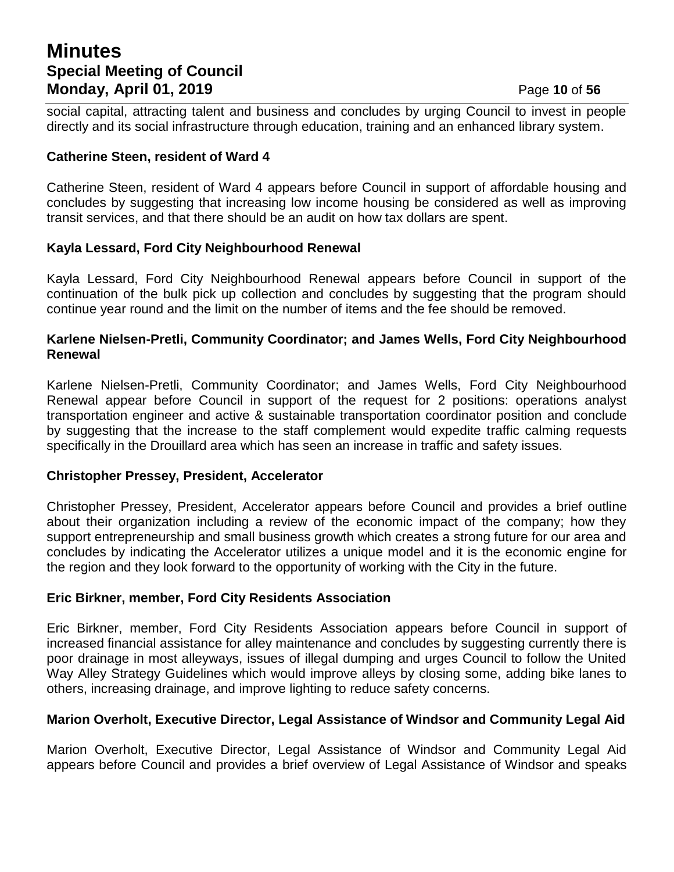## **Minutes Special Meeting of Council Monday, April 01, 2019 Page 10** of 56

social capital, attracting talent and business and concludes by urging Council to invest in people directly and its social infrastructure through education, training and an enhanced library system.

#### **Catherine Steen, resident of Ward 4**

Catherine Steen, resident of Ward 4 appears before Council in support of affordable housing and concludes by suggesting that increasing low income housing be considered as well as improving transit services, and that there should be an audit on how tax dollars are spent.

### **Kayla Lessard, Ford City Neighbourhood Renewal**

Kayla Lessard, Ford City Neighbourhood Renewal appears before Council in support of the continuation of the bulk pick up collection and concludes by suggesting that the program should continue year round and the limit on the number of items and the fee should be removed.

#### **Karlene Nielsen-Pretli, Community Coordinator; and James Wells, Ford City Neighbourhood Renewal**

Karlene Nielsen-Pretli, Community Coordinator; and James Wells, Ford City Neighbourhood Renewal appear before Council in support of the request for 2 positions: operations analyst transportation engineer and active & sustainable transportation coordinator position and conclude by suggesting that the increase to the staff complement would expedite traffic calming requests specifically in the Drouillard area which has seen an increase in traffic and safety issues.

#### **Christopher Pressey, President, Accelerator**

Christopher Pressey, President, Accelerator appears before Council and provides a brief outline about their organization including a review of the economic impact of the company; how they support entrepreneurship and small business growth which creates a strong future for our area and concludes by indicating the Accelerator utilizes a unique model and it is the economic engine for the region and they look forward to the opportunity of working with the City in the future.

#### **Eric Birkner, member, Ford City Residents Association**

Eric Birkner, member, Ford City Residents Association appears before Council in support of increased financial assistance for alley maintenance and concludes by suggesting currently there is poor drainage in most alleyways, issues of illegal dumping and urges Council to follow the United Way Alley Strategy Guidelines which would improve alleys by closing some, adding bike lanes to others, increasing drainage, and improve lighting to reduce safety concerns.

## **Marion Overholt, Executive Director, Legal Assistance of Windsor and Community Legal Aid**

Marion Overholt, Executive Director, Legal Assistance of Windsor and Community Legal Aid appears before Council and provides a brief overview of Legal Assistance of Windsor and speaks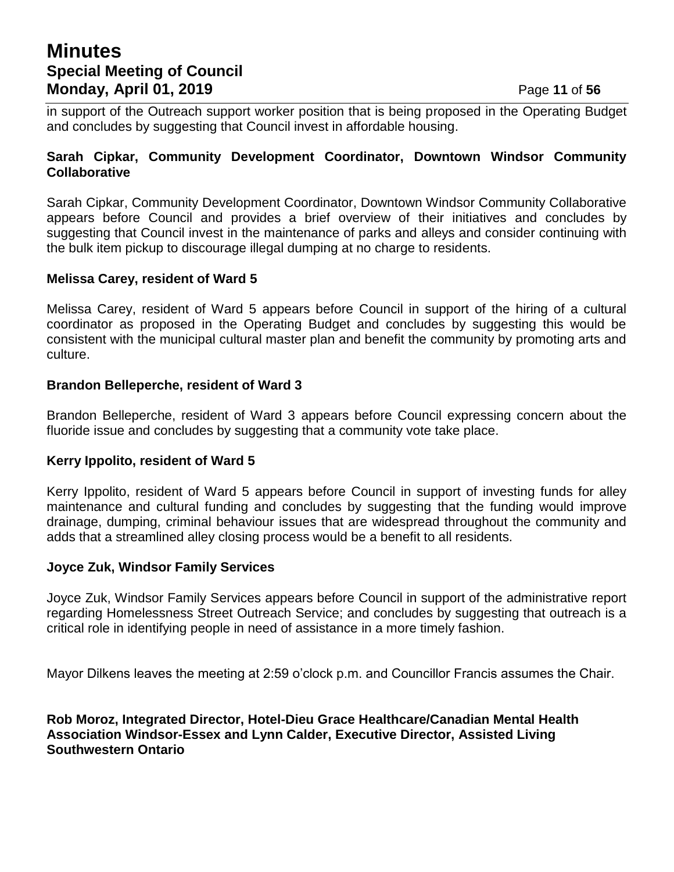## **Minutes Special Meeting of Council Monday, April 01, 2019 Page 11 of 56**

in support of the Outreach support worker position that is being proposed in the Operating Budget and concludes by suggesting that Council invest in affordable housing.

#### **Sarah Cipkar, Community Development Coordinator, Downtown Windsor Community Collaborative**

Sarah Cipkar, Community Development Coordinator, Downtown Windsor Community Collaborative appears before Council and provides a brief overview of their initiatives and concludes by suggesting that Council invest in the maintenance of parks and alleys and consider continuing with the bulk item pickup to discourage illegal dumping at no charge to residents.

#### **Melissa Carey, resident of Ward 5**

Melissa Carey, resident of Ward 5 appears before Council in support of the hiring of a cultural coordinator as proposed in the Operating Budget and concludes by suggesting this would be consistent with the municipal cultural master plan and benefit the community by promoting arts and culture.

#### **Brandon Belleperche, resident of Ward 3**

Brandon Belleperche, resident of Ward 3 appears before Council expressing concern about the fluoride issue and concludes by suggesting that a community vote take place.

#### **Kerry Ippolito, resident of Ward 5**

Kerry Ippolito, resident of Ward 5 appears before Council in support of investing funds for alley maintenance and cultural funding and concludes by suggesting that the funding would improve drainage, dumping, criminal behaviour issues that are widespread throughout the community and adds that a streamlined alley closing process would be a benefit to all residents.

#### **Joyce Zuk, Windsor Family Services**

Joyce Zuk, Windsor Family Services appears before Council in support of the administrative report regarding Homelessness Street Outreach Service; and concludes by suggesting that outreach is a critical role in identifying people in need of assistance in a more timely fashion.

Mayor Dilkens leaves the meeting at 2:59 o'clock p.m. and Councillor Francis assumes the Chair.

**Rob Moroz, Integrated Director, Hotel-Dieu Grace Healthcare/Canadian Mental Health Association Windsor-Essex and Lynn Calder, Executive Director, Assisted Living Southwestern Ontario**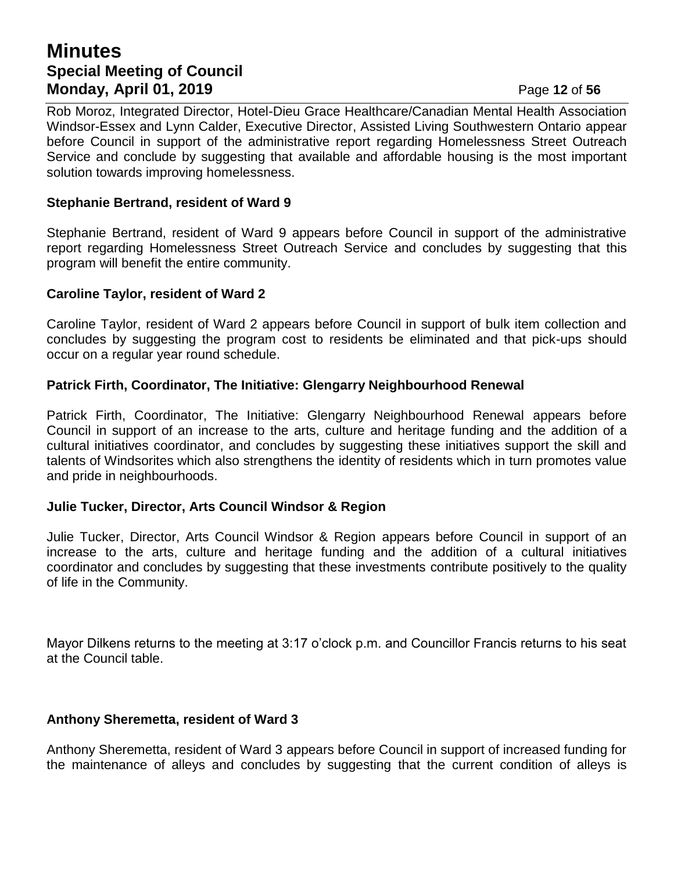## **Minutes Special Meeting of Council Monday, April 01, 2019 Page 12 of 56**

Rob Moroz, Integrated Director, Hotel-Dieu Grace Healthcare/Canadian Mental Health Association Windsor-Essex and Lynn Calder, Executive Director, Assisted Living Southwestern Ontario appear before Council in support of the administrative report regarding Homelessness Street Outreach Service and conclude by suggesting that available and affordable housing is the most important solution towards improving homelessness.

#### **Stephanie Bertrand, resident of Ward 9**

Stephanie Bertrand, resident of Ward 9 appears before Council in support of the administrative report regarding Homelessness Street Outreach Service and concludes by suggesting that this program will benefit the entire community.

### **Caroline Taylor, resident of Ward 2**

Caroline Taylor, resident of Ward 2 appears before Council in support of bulk item collection and concludes by suggesting the program cost to residents be eliminated and that pick-ups should occur on a regular year round schedule.

### **Patrick Firth, Coordinator, The Initiative: Glengarry Neighbourhood Renewal**

Patrick Firth, Coordinator, The Initiative: Glengarry Neighbourhood Renewal appears before Council in support of an increase to the arts, culture and heritage funding and the addition of a cultural initiatives coordinator, and concludes by suggesting these initiatives support the skill and talents of Windsorites which also strengthens the identity of residents which in turn promotes value and pride in neighbourhoods.

#### **Julie Tucker, Director, Arts Council Windsor & Region**

Julie Tucker, Director, Arts Council Windsor & Region appears before Council in support of an increase to the arts, culture and heritage funding and the addition of a cultural initiatives coordinator and concludes by suggesting that these investments contribute positively to the quality of life in the Community.

Mayor Dilkens returns to the meeting at 3:17 o'clock p.m. and Councillor Francis returns to his seat at the Council table.

#### **Anthony Sheremetta, resident of Ward 3**

Anthony Sheremetta, resident of Ward 3 appears before Council in support of increased funding for the maintenance of alleys and concludes by suggesting that the current condition of alleys is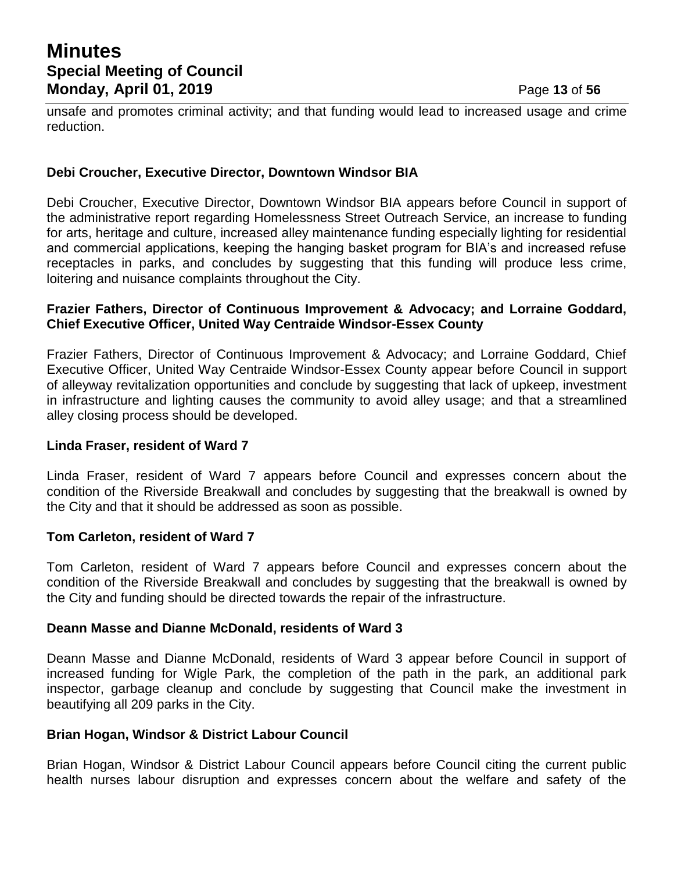unsafe and promotes criminal activity; and that funding would lead to increased usage and crime reduction.

#### **Debi Croucher, Executive Director, Downtown Windsor BIA**

Debi Croucher, Executive Director, Downtown Windsor BIA appears before Council in support of the administrative report regarding Homelessness Street Outreach Service, an increase to funding for arts, heritage and culture, increased alley maintenance funding especially lighting for residential and commercial applications, keeping the hanging basket program for BIA's and increased refuse receptacles in parks, and concludes by suggesting that this funding will produce less crime, loitering and nuisance complaints throughout the City.

#### **Frazier Fathers, Director of Continuous Improvement & Advocacy; and Lorraine Goddard, Chief Executive Officer, United Way Centraide Windsor-Essex County**

Frazier Fathers, Director of Continuous Improvement & Advocacy; and Lorraine Goddard, Chief Executive Officer, United Way Centraide Windsor-Essex County appear before Council in support of alleyway revitalization opportunities and conclude by suggesting that lack of upkeep, investment in infrastructure and lighting causes the community to avoid alley usage; and that a streamlined alley closing process should be developed.

#### **Linda Fraser, resident of Ward 7**

Linda Fraser, resident of Ward 7 appears before Council and expresses concern about the condition of the Riverside Breakwall and concludes by suggesting that the breakwall is owned by the City and that it should be addressed as soon as possible.

#### **Tom Carleton, resident of Ward 7**

Tom Carleton, resident of Ward 7 appears before Council and expresses concern about the condition of the Riverside Breakwall and concludes by suggesting that the breakwall is owned by the City and funding should be directed towards the repair of the infrastructure.

#### **Deann Masse and Dianne McDonald, residents of Ward 3**

Deann Masse and Dianne McDonald, residents of Ward 3 appear before Council in support of increased funding for Wigle Park, the completion of the path in the park, an additional park inspector, garbage cleanup and conclude by suggesting that Council make the investment in beautifying all 209 parks in the City.

#### **Brian Hogan, Windsor & District Labour Council**

Brian Hogan, Windsor & District Labour Council appears before Council citing the current public health nurses labour disruption and expresses concern about the welfare and safety of the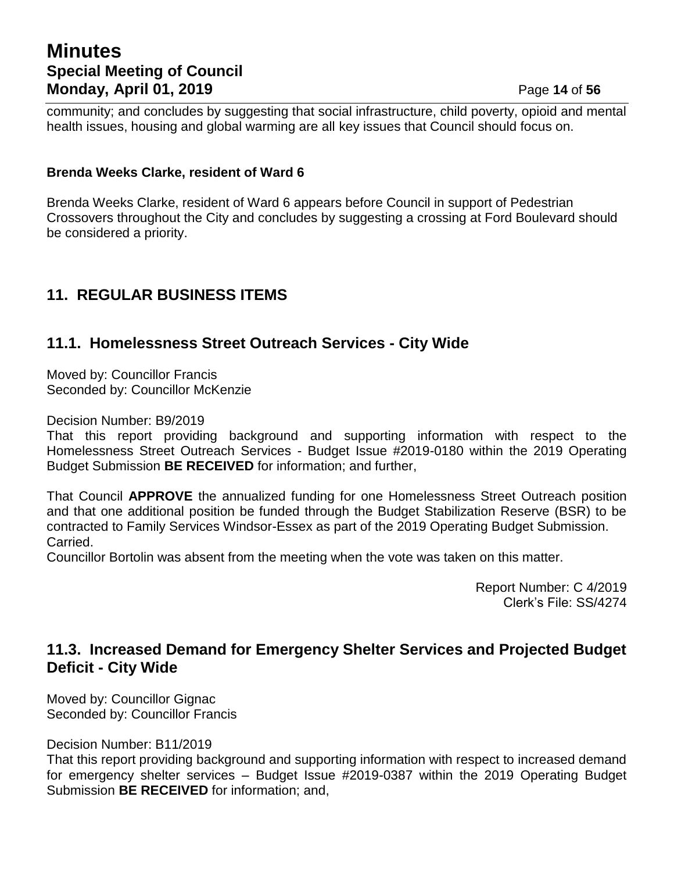## **Minutes Special Meeting of Council Monday, April 01, 2019 Page 14 of 56**

community; and concludes by suggesting that social infrastructure, child poverty, opioid and mental health issues, housing and global warming are all key issues that Council should focus on.

### **Brenda Weeks Clarke, resident of Ward 6**

Brenda Weeks Clarke, resident of Ward 6 appears before Council in support of Pedestrian Crossovers throughout the City and concludes by suggesting a crossing at Ford Boulevard should be considered a priority.

## **11. REGULAR BUSINESS ITEMS**

## **11.1. Homelessness Street Outreach Services - City Wide**

Moved by: Councillor Francis Seconded by: Councillor McKenzie

Decision Number: B9/2019

That this report providing background and supporting information with respect to the Homelessness Street Outreach Services - Budget Issue #2019-0180 within the 2019 Operating Budget Submission **BE RECEIVED** for information; and further,

That Council **APPROVE** the annualized funding for one Homelessness Street Outreach position and that one additional position be funded through the Budget Stabilization Reserve (BSR) to be contracted to Family Services Windsor-Essex as part of the 2019 Operating Budget Submission. Carried.

Councillor Bortolin was absent from the meeting when the vote was taken on this matter.

Report Number: C 4/2019 Clerk's File: SS/4274

## **11.3. Increased Demand for Emergency Shelter Services and Projected Budget Deficit - City Wide**

Moved by: Councillor Gignac Seconded by: Councillor Francis

Decision Number: B11/2019

That this report providing background and supporting information with respect to increased demand for emergency shelter services – Budget Issue #2019-0387 within the 2019 Operating Budget Submission **BE RECEIVED** for information; and,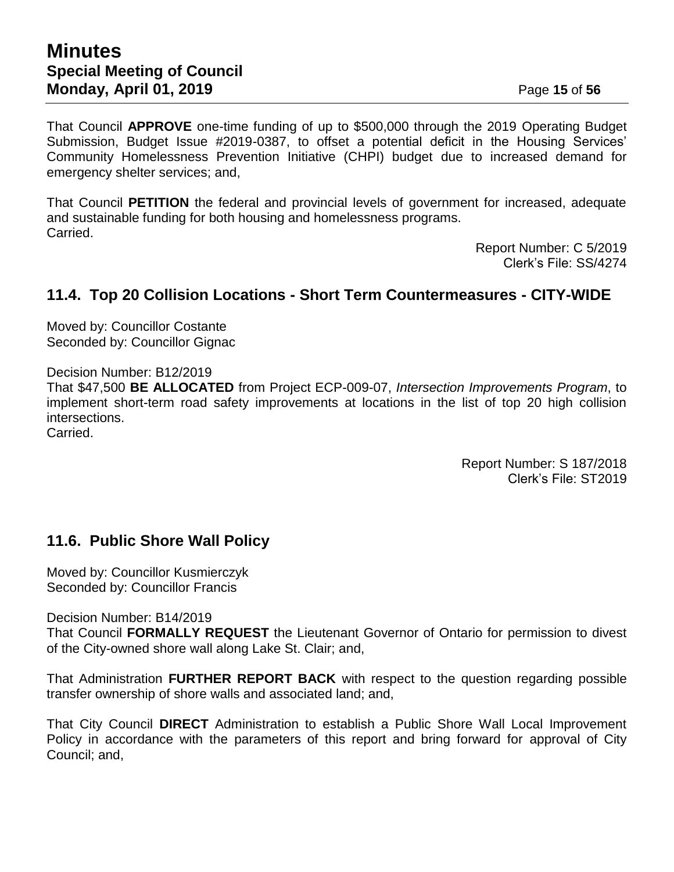That Council **APPROVE** one-time funding of up to \$500,000 through the 2019 Operating Budget Submission, Budget Issue #2019-0387, to offset a potential deficit in the Housing Services' Community Homelessness Prevention Initiative (CHPI) budget due to increased demand for emergency shelter services; and,

That Council **PETITION** the federal and provincial levels of government for increased, adequate and sustainable funding for both housing and homelessness programs. Carried.

> Report Number: C 5/2019 Clerk's File: SS/4274

## **11.4. Top 20 Collision Locations - Short Term Countermeasures - CITY-WIDE**

Moved by: Councillor Costante Seconded by: Councillor Gignac

Decision Number: B12/2019

That \$47,500 **BE ALLOCATED** from Project ECP-009-07, *Intersection Improvements Program*, to implement short-term road safety improvements at locations in the list of top 20 high collision intersections. Carried.

> Report Number: S 187/2018 Clerk's File: ST2019

## **11.6. Public Shore Wall Policy**

Moved by: Councillor Kusmierczyk Seconded by: Councillor Francis

Decision Number: B14/2019

That Council **FORMALLY REQUEST** the Lieutenant Governor of Ontario for permission to divest of the City-owned shore wall along Lake St. Clair; and,

That Administration **FURTHER REPORT BACK** with respect to the question regarding possible transfer ownership of shore walls and associated land; and,

That City Council **DIRECT** Administration to establish a Public Shore Wall Local Improvement Policy in accordance with the parameters of this report and bring forward for approval of City Council; and,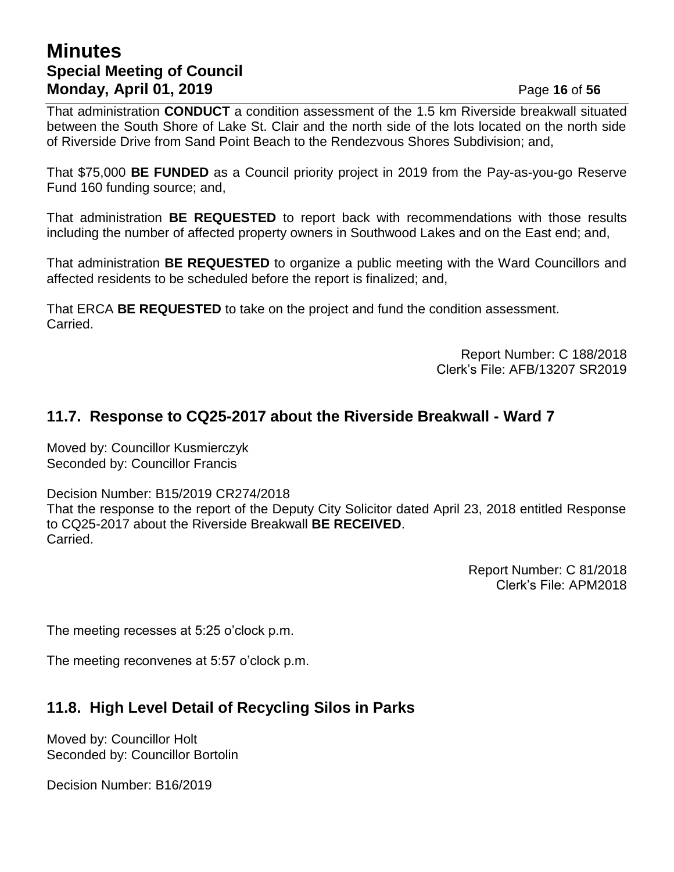## **Minutes Special Meeting of Council Monday, April 01, 2019 Page 16** of 56

That administration **CONDUCT** a condition assessment of the 1.5 km Riverside breakwall situated between the South Shore of Lake St. Clair and the north side of the lots located on the north side of Riverside Drive from Sand Point Beach to the Rendezvous Shores Subdivision; and,

That \$75,000 **BE FUNDED** as a Council priority project in 2019 from the Pay-as-you-go Reserve Fund 160 funding source; and,

That administration **BE REQUESTED** to report back with recommendations with those results including the number of affected property owners in Southwood Lakes and on the East end; and,

That administration **BE REQUESTED** to organize a public meeting with the Ward Councillors and affected residents to be scheduled before the report is finalized; and,

That ERCA **BE REQUESTED** to take on the project and fund the condition assessment. Carried.

> Report Number: C 188/2018 Clerk's File: AFB/13207 SR2019

## **11.7. Response to CQ25-2017 about the Riverside Breakwall - Ward 7**

Moved by: Councillor Kusmierczyk Seconded by: Councillor Francis

Decision Number: B15/2019 CR274/2018 That the response to the report of the Deputy City Solicitor dated April 23, 2018 entitled Response to CQ25-2017 about the Riverside Breakwall **BE RECEIVED**. Carried.

> Report Number: C 81/2018 Clerk's File: APM2018

The meeting recesses at 5:25 o'clock p.m.

The meeting reconvenes at 5:57 o'clock p.m.

## **11.8. High Level Detail of Recycling Silos in Parks**

Moved by: Councillor Holt Seconded by: Councillor Bortolin

Decision Number: B16/2019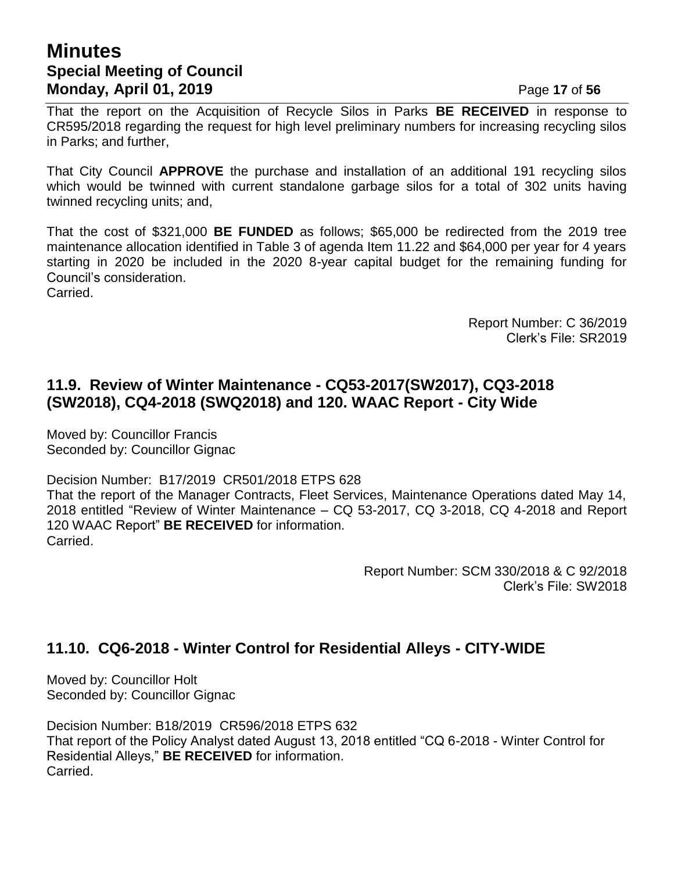## **Minutes Special Meeting of Council Monday, April 01, 2019 Page 17** of 56

That the report on the Acquisition of Recycle Silos in Parks **BE RECEIVED** in response to CR595/2018 regarding the request for high level preliminary numbers for increasing recycling silos in Parks; and further,

That City Council **APPROVE** the purchase and installation of an additional 191 recycling silos which would be twinned with current standalone garbage silos for a total of 302 units having twinned recycling units; and,

That the cost of \$321,000 **BE FUNDED** as follows; \$65,000 be redirected from the 2019 tree maintenance allocation identified in Table 3 of agenda Item 11.22 and \$64,000 per year for 4 years starting in 2020 be included in the 2020 8-year capital budget for the remaining funding for Council's consideration. Carried.

> Report Number: C 36/2019 Clerk's File: SR2019

## **11.9. Review of Winter Maintenance - CQ53-2017(SW2017), CQ3-2018 (SW2018), CQ4-2018 (SWQ2018) and 120. WAAC Report - City Wide**

Moved by: Councillor Francis Seconded by: Councillor Gignac

Decision Number: B17/2019 CR501/2018 ETPS 628

That the report of the Manager Contracts, Fleet Services, Maintenance Operations dated May 14, 2018 entitled "Review of Winter Maintenance – CQ 53-2017, CQ 3-2018, CQ 4-2018 and Report 120 WAAC Report" **BE RECEIVED** for information. Carried.

> Report Number: SCM 330/2018 & C 92/2018 Clerk's File: SW2018

## **11.10. CQ6-2018 - Winter Control for Residential Alleys - CITY-WIDE**

Moved by: Councillor Holt Seconded by: Councillor Gignac

Decision Number: B18/2019 CR596/2018 ETPS 632 That report of the Policy Analyst dated August 13, 2018 entitled "CQ 6-2018 - Winter Control for Residential Alleys," **BE RECEIVED** for information. Carried.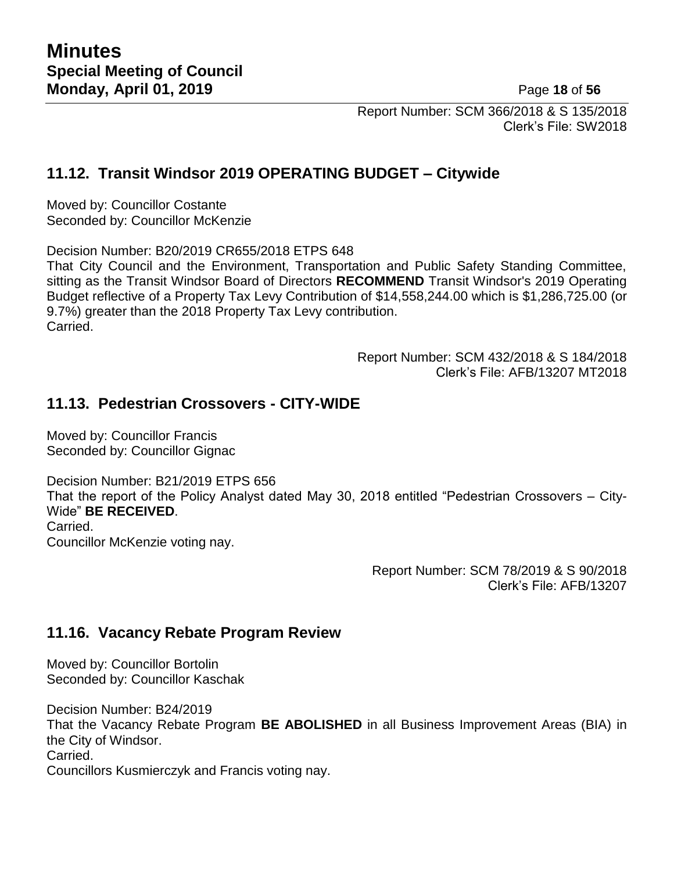Report Number: SCM 366/2018 & S 135/2018 Clerk's File: SW2018

## **11.12. Transit Windsor 2019 OPERATING BUDGET – Citywide**

Moved by: Councillor Costante Seconded by: Councillor McKenzie

Decision Number: B20/2019 CR655/2018 ETPS 648

That City Council and the Environment, Transportation and Public Safety Standing Committee, sitting as the Transit Windsor Board of Directors **RECOMMEND** Transit Windsor's 2019 Operating Budget reflective of a Property Tax Levy Contribution of \$14,558,244.00 which is \$1,286,725.00 (or 9.7%) greater than the 2018 Property Tax Levy contribution. Carried.

> Report Number: SCM 432/2018 & S 184/2018 Clerk's File: AFB/13207 MT2018

## **11.13. Pedestrian Crossovers - CITY-WIDE**

Moved by: Councillor Francis Seconded by: Councillor Gignac

Decision Number: B21/2019 ETPS 656 That the report of the Policy Analyst dated May 30, 2018 entitled "Pedestrian Crossovers – City-Wide" **BE RECEIVED**. Carried. Councillor McKenzie voting nay.

> Report Number: SCM 78/2019 & S 90/2018 Clerk's File: AFB/13207

## **11.16. Vacancy Rebate Program Review**

Moved by: Councillor Bortolin Seconded by: Councillor Kaschak

Decision Number: B24/2019

That the Vacancy Rebate Program **BE ABOLISHED** in all Business Improvement Areas (BIA) in the City of Windsor. Carried.

Councillors Kusmierczyk and Francis voting nay.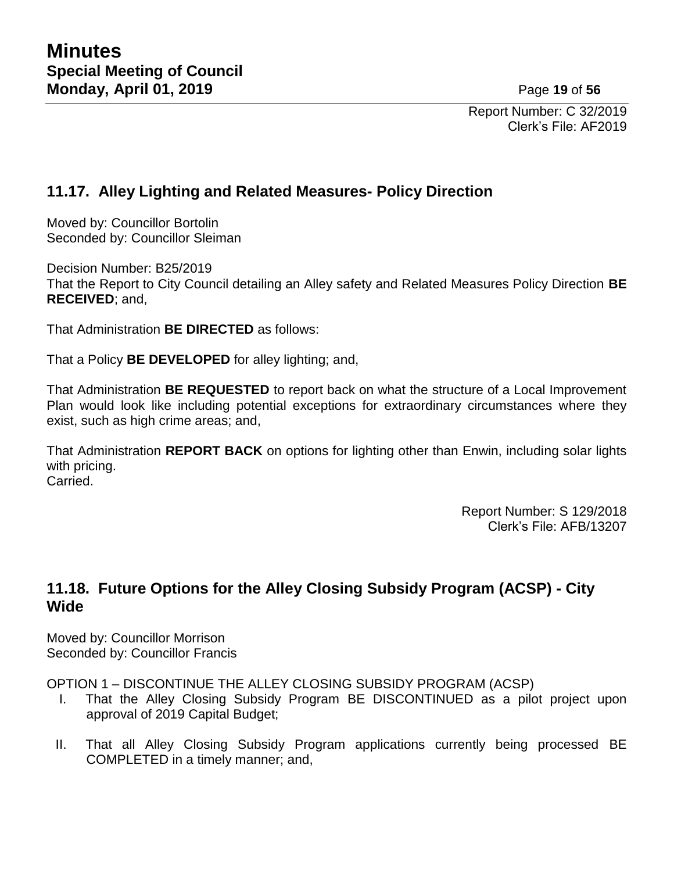Report Number: C 32/2019 Clerk's File: AF2019

## **11.17. Alley Lighting and Related Measures- Policy Direction**

Moved by: Councillor Bortolin Seconded by: Councillor Sleiman

Decision Number: B25/2019

That the Report to City Council detailing an Alley safety and Related Measures Policy Direction **BE RECEIVED**; and,

That Administration **BE DIRECTED** as follows:

That a Policy **BE DEVELOPED** for alley lighting; and,

That Administration **BE REQUESTED** to report back on what the structure of a Local Improvement Plan would look like including potential exceptions for extraordinary circumstances where they exist, such as high crime areas; and,

That Administration **REPORT BACK** on options for lighting other than Enwin, including solar lights with pricing. Carried.

> Report Number: S 129/2018 Clerk's File: AFB/13207

## **11.18. Future Options for the Alley Closing Subsidy Program (ACSP) - City Wide**

Moved by: Councillor Morrison Seconded by: Councillor Francis

OPTION 1 – DISCONTINUE THE ALLEY CLOSING SUBSIDY PROGRAM (ACSP)

- I. That the Alley Closing Subsidy Program BE DISCONTINUED as a pilot project upon approval of 2019 Capital Budget;
- II. That all Alley Closing Subsidy Program applications currently being processed BE COMPLETED in a timely manner; and,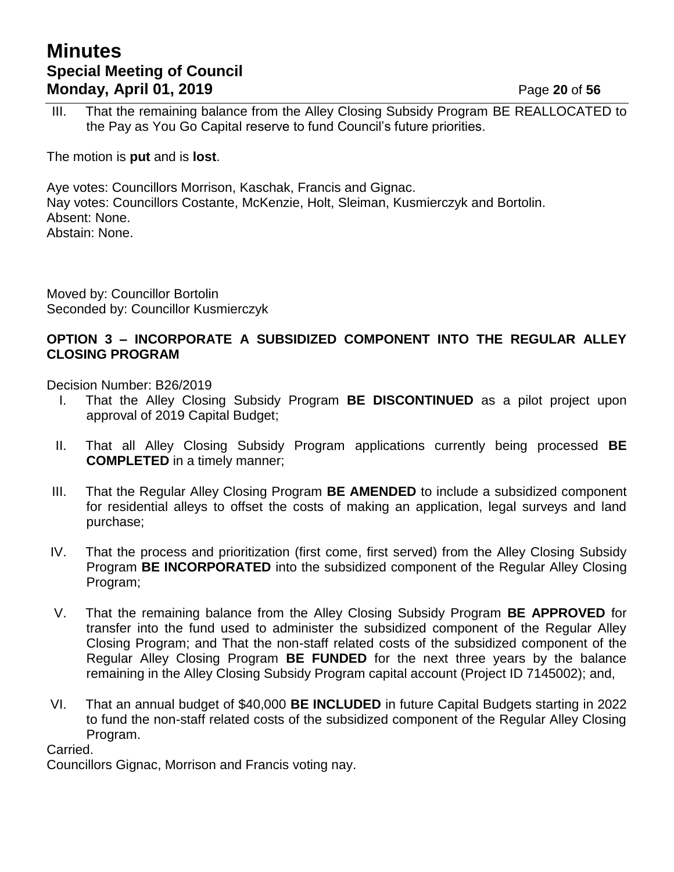## **Minutes Special Meeting of Council Monday, April 01, 2019 Page 20** of 56

III. That the remaining balance from the Alley Closing Subsidy Program BE REALLOCATED to the Pay as You Go Capital reserve to fund Council's future priorities.

The motion is **put** and is **lost**.

Aye votes: Councillors Morrison, Kaschak, Francis and Gignac. Nay votes: Councillors Costante, McKenzie, Holt, Sleiman, Kusmierczyk and Bortolin. Absent: None. Abstain: None.

Moved by: Councillor Bortolin Seconded by: Councillor Kusmierczyk

### **OPTION 3 – INCORPORATE A SUBSIDIZED COMPONENT INTO THE REGULAR ALLEY CLOSING PROGRAM**

Decision Number: B26/2019

- I. That the Alley Closing Subsidy Program **BE DISCONTINUED** as a pilot project upon approval of 2019 Capital Budget;
- II. That all Alley Closing Subsidy Program applications currently being processed **BE COMPLETED** in a timely manner;
- III. That the Regular Alley Closing Program **BE AMENDED** to include a subsidized component for residential alleys to offset the costs of making an application, legal surveys and land purchase;
- IV. That the process and prioritization (first come, first served) from the Alley Closing Subsidy Program **BE INCORPORATED** into the subsidized component of the Regular Alley Closing Program;
- V. That the remaining balance from the Alley Closing Subsidy Program **BE APPROVED** for transfer into the fund used to administer the subsidized component of the Regular Alley Closing Program; and That the non-staff related costs of the subsidized component of the Regular Alley Closing Program **BE FUNDED** for the next three years by the balance remaining in the Alley Closing Subsidy Program capital account (Project ID 7145002); and,
- VI. That an annual budget of \$40,000 **BE INCLUDED** in future Capital Budgets starting in 2022 to fund the non-staff related costs of the subsidized component of the Regular Alley Closing Program.

Carried.

Councillors Gignac, Morrison and Francis voting nay.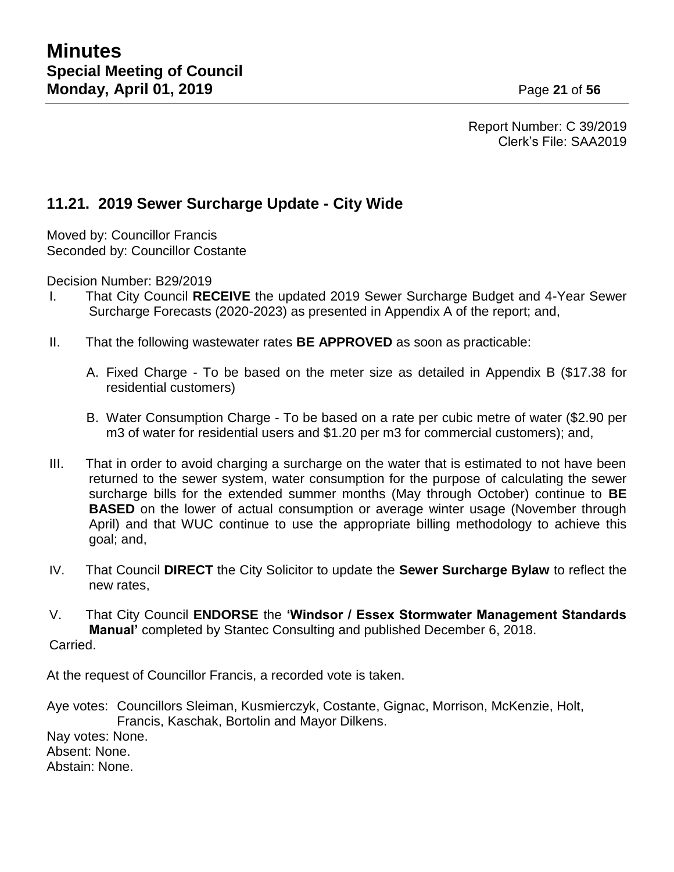Report Number: C 39/2019 Clerk's File: SAA2019

## **11.21. 2019 Sewer Surcharge Update - City Wide**

Moved by: Councillor Francis Seconded by: Councillor Costante

Decision Number: B29/2019

- I. That City Council **RECEIVE** the updated 2019 Sewer Surcharge Budget and 4-Year Sewer Surcharge Forecasts (2020-2023) as presented in Appendix A of the report; and,
- II. That the following wastewater rates **BE APPROVED** as soon as practicable:
	- A. Fixed Charge To be based on the meter size as detailed in Appendix B (\$17.38 for residential customers)
	- B. Water Consumption Charge To be based on a rate per cubic metre of water (\$2.90 per m3 of water for residential users and \$1.20 per m3 for commercial customers); and,
- III. That in order to avoid charging a surcharge on the water that is estimated to not have been returned to the sewer system, water consumption for the purpose of calculating the sewer surcharge bills for the extended summer months (May through October) continue to **BE BASED** on the lower of actual consumption or average winter usage (November through April) and that WUC continue to use the appropriate billing methodology to achieve this goal; and,
- IV. That Council **DIRECT** the City Solicitor to update the **Sewer Surcharge Bylaw** to reflect the new rates,

V. That City Council **ENDORSE** the **'Windsor / Essex Stormwater Management Standards Manual'** completed by Stantec Consulting and published December 6, 2018. Carried.

At the request of Councillor Francis, a recorded vote is taken.

Aye votes: Councillors Sleiman, Kusmierczyk, Costante, Gignac, Morrison, McKenzie, Holt, Francis, Kaschak, Bortolin and Mayor Dilkens.

Nay votes: None. Absent: None. Abstain: None.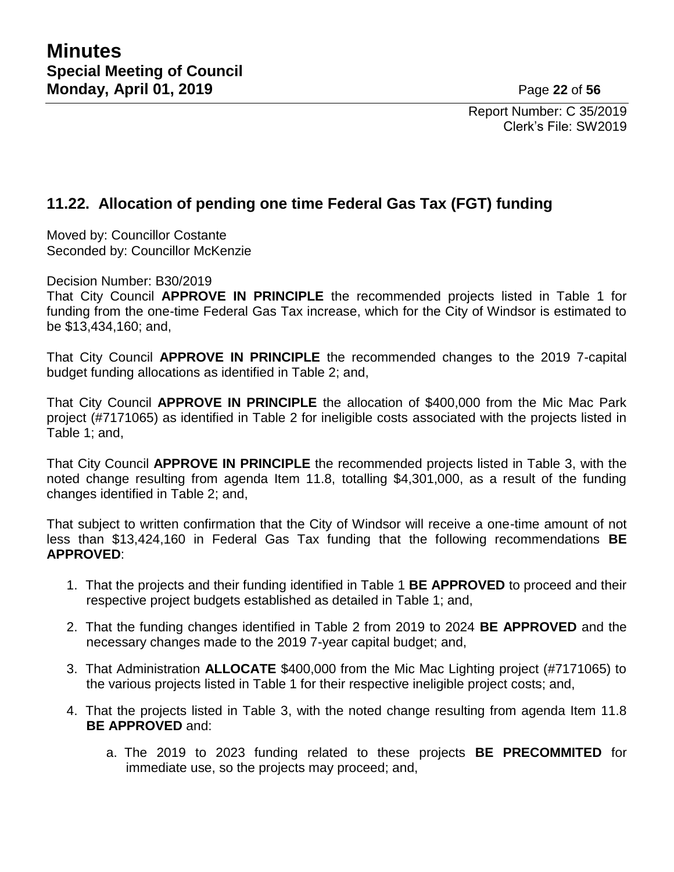Report Number: C 35/2019 Clerk's File: SW2019

## **11.22. Allocation of pending one time Federal Gas Tax (FGT) funding**

Moved by: Councillor Costante Seconded by: Councillor McKenzie

Decision Number: B30/2019

That City Council **APPROVE IN PRINCIPLE** the recommended projects listed in Table 1 for funding from the one-time Federal Gas Tax increase, which for the City of Windsor is estimated to be \$13,434,160; and,

That City Council **APPROVE IN PRINCIPLE** the recommended changes to the 2019 7-capital budget funding allocations as identified in Table 2; and,

That City Council **APPROVE IN PRINCIPLE** the allocation of \$400,000 from the Mic Mac Park project (#7171065) as identified in Table 2 for ineligible costs associated with the projects listed in Table 1; and,

That City Council **APPROVE IN PRINCIPLE** the recommended projects listed in Table 3, with the noted change resulting from agenda Item 11.8, totalling \$4,301,000, as a result of the funding changes identified in Table 2; and,

That subject to written confirmation that the City of Windsor will receive a one-time amount of not less than \$13,424,160 in Federal Gas Tax funding that the following recommendations **BE APPROVED**:

- 1. That the projects and their funding identified in Table 1 **BE APPROVED** to proceed and their respective project budgets established as detailed in Table 1; and,
- 2. That the funding changes identified in Table 2 from 2019 to 2024 **BE APPROVED** and the necessary changes made to the 2019 7-year capital budget; and,
- 3. That Administration **ALLOCATE** \$400,000 from the Mic Mac Lighting project (#7171065) to the various projects listed in Table 1 for their respective ineligible project costs; and,
- 4. That the projects listed in Table 3, with the noted change resulting from agenda Item 11.8 **BE APPROVED** and:
	- a. The 2019 to 2023 funding related to these projects **BE PRECOMMITED** for immediate use, so the projects may proceed; and,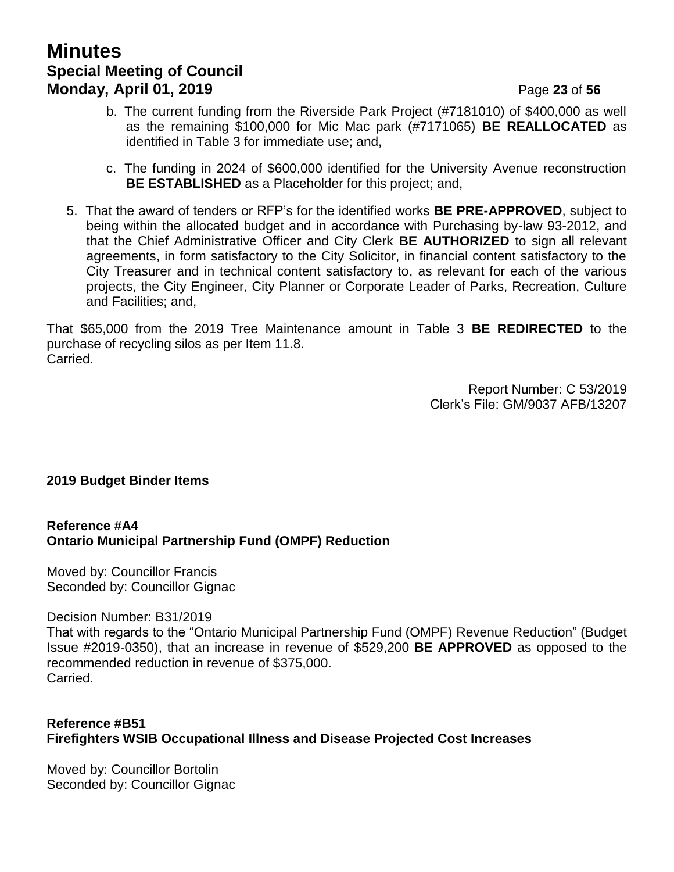# **Minutes Special Meeting of Council Monday, April 01, 2019 Page 23** of 56

- b. The current funding from the Riverside Park Project (#7181010) of \$400,000 as well as the remaining \$100,000 for Mic Mac park (#7171065) **BE REALLOCATED** as identified in Table 3 for immediate use; and,
- c. The funding in 2024 of \$600,000 identified for the University Avenue reconstruction **BE ESTABLISHED** as a Placeholder for this project; and,
- 5. That the award of tenders or RFP's for the identified works **BE PRE-APPROVED**, subject to being within the allocated budget and in accordance with Purchasing by-law 93-2012, and that the Chief Administrative Officer and City Clerk **BE AUTHORIZED** to sign all relevant agreements, in form satisfactory to the City Solicitor, in financial content satisfactory to the City Treasurer and in technical content satisfactory to, as relevant for each of the various projects, the City Engineer, City Planner or Corporate Leader of Parks, Recreation, Culture and Facilities; and,

That \$65,000 from the 2019 Tree Maintenance amount in Table 3 **BE REDIRECTED** to the purchase of recycling silos as per Item 11.8. Carried.

> Report Number: C 53/2019 Clerk's File: GM/9037 AFB/13207

#### **2019 Budget Binder Items**

#### **Reference #A4 Ontario Municipal Partnership Fund (OMPF) Reduction**

Moved by: Councillor Francis Seconded by: Councillor Gignac

Decision Number: B31/2019

That with regards to the "Ontario Municipal Partnership Fund (OMPF) Revenue Reduction" (Budget Issue #2019-0350), that an increase in revenue of \$529,200 **BE APPROVED** as opposed to the recommended reduction in revenue of \$375,000. Carried.

### **Reference #B51 Firefighters WSIB Occupational Illness and Disease Projected Cost Increases**

Moved by: Councillor Bortolin Seconded by: Councillor Gignac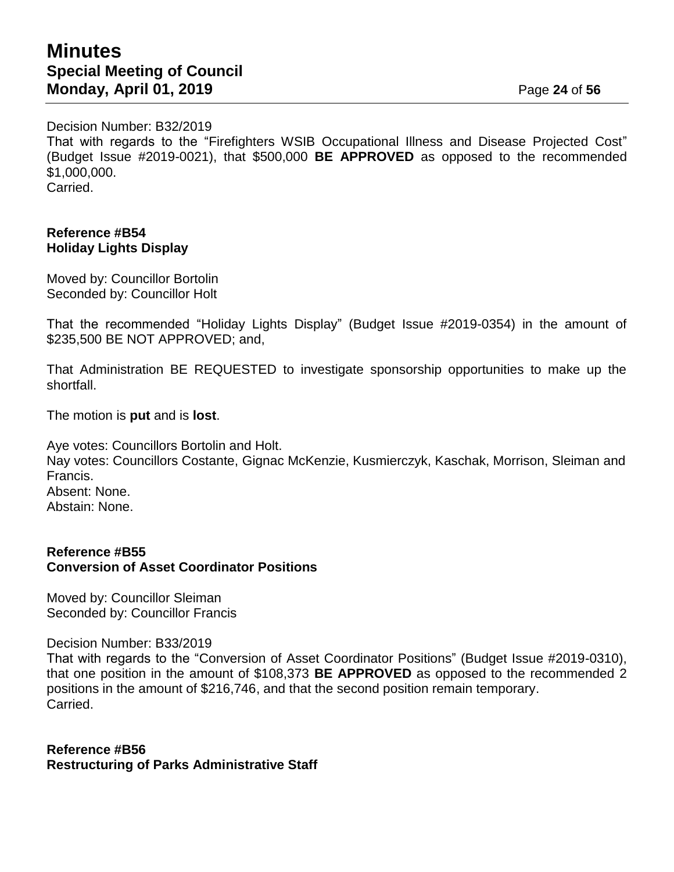## **Minutes Special Meeting of Council Monday, April 01, 2019 Page 24 of 56**

Decision Number: B32/2019

That with regards to the "Firefighters WSIB Occupational Illness and Disease Projected Cost" (Budget Issue #2019-0021), that \$500,000 **BE APPROVED** as opposed to the recommended \$1,000,000. Carried.

#### **Reference #B54 Holiday Lights Display**

Moved by: Councillor Bortolin Seconded by: Councillor Holt

That the recommended "Holiday Lights Display" (Budget Issue #2019-0354) in the amount of \$235,500 BE NOT APPROVED; and,

That Administration BE REQUESTED to investigate sponsorship opportunities to make up the shortfall.

The motion is **put** and is **lost**.

Aye votes: Councillors Bortolin and Holt. Nay votes: Councillors Costante, Gignac McKenzie, Kusmierczyk, Kaschak, Morrison, Sleiman and Francis. Absent: None. Abstain: None.

#### **Reference #B55 Conversion of Asset Coordinator Positions**

Moved by: Councillor Sleiman Seconded by: Councillor Francis

Decision Number: B33/2019

That with regards to the "Conversion of Asset Coordinator Positions" (Budget Issue #2019-0310), that one position in the amount of \$108,373 **BE APPROVED** as opposed to the recommended 2 positions in the amount of \$216,746, and that the second position remain temporary. Carried.

**Reference #B56 Restructuring of Parks Administrative Staff**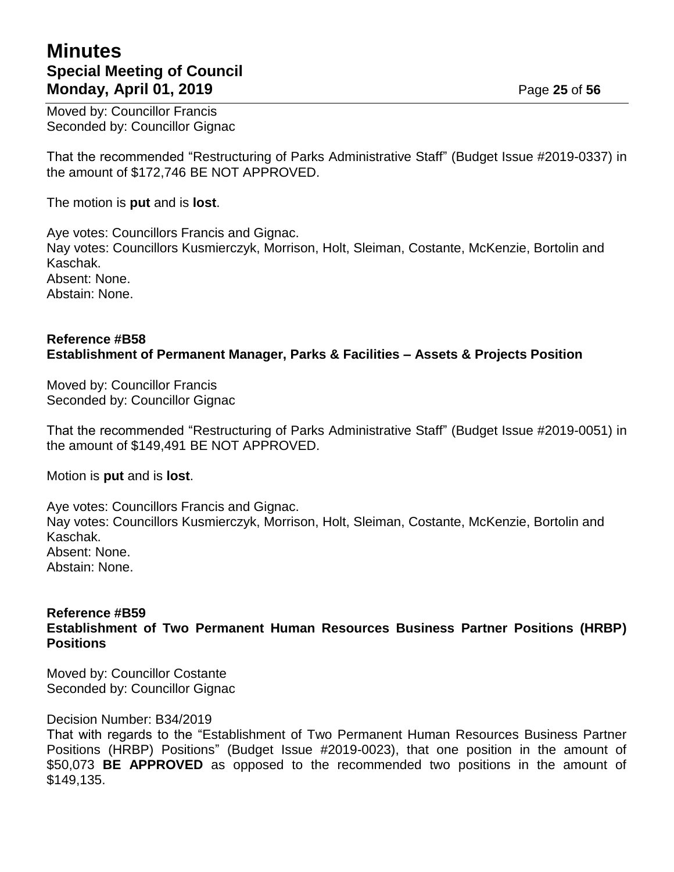## **Minutes Special Meeting of Council Monday, April 01, 2019 Page 25** of 56

Moved by: Councillor Francis Seconded by: Councillor Gignac

That the recommended "Restructuring of Parks Administrative Staff" (Budget Issue #2019-0337) in the amount of \$172,746 BE NOT APPROVED.

The motion is **put** and is **lost**.

Aye votes: Councillors Francis and Gignac. Nay votes: Councillors Kusmierczyk, Morrison, Holt, Sleiman, Costante, McKenzie, Bortolin and Kaschak. Absent: None. Abstain: None.

## **Reference #B58 Establishment of Permanent Manager, Parks & Facilities – Assets & Projects Position**

Moved by: Councillor Francis Seconded by: Councillor Gignac

That the recommended "Restructuring of Parks Administrative Staff" (Budget Issue #2019-0051) in the amount of \$149,491 BE NOT APPROVED.

Motion is **put** and is **lost**.

Aye votes: Councillors Francis and Gignac. Nay votes: Councillors Kusmierczyk, Morrison, Holt, Sleiman, Costante, McKenzie, Bortolin and Kaschak. Absent: None. Abstain: None.

#### **Reference #B59 Establishment of Two Permanent Human Resources Business Partner Positions (HRBP) Positions**

Moved by: Councillor Costante Seconded by: Councillor Gignac

Decision Number: B34/2019

That with regards to the "Establishment of Two Permanent Human Resources Business Partner Positions (HRBP) Positions" (Budget Issue #2019-0023), that one position in the amount of \$50,073 **BE APPROVED** as opposed to the recommended two positions in the amount of \$149,135.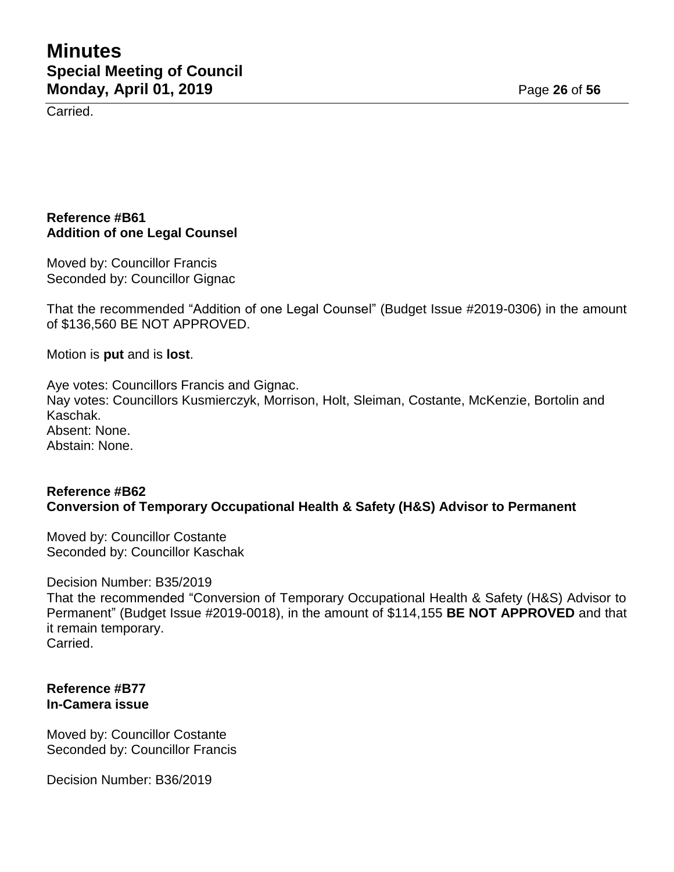Carried.

### **Reference #B61 Addition of one Legal Counsel**

Moved by: Councillor Francis Seconded by: Councillor Gignac

That the recommended "Addition of one Legal Counsel" (Budget Issue #2019-0306) in the amount of \$136,560 BE NOT APPROVED.

Motion is **put** and is **lost**.

Aye votes: Councillors Francis and Gignac. Nay votes: Councillors Kusmierczyk, Morrison, Holt, Sleiman, Costante, McKenzie, Bortolin and Kaschak. Absent: None. Abstain: None.

#### **Reference #B62 Conversion of Temporary Occupational Health & Safety (H&S) Advisor to Permanent**

Moved by: Councillor Costante Seconded by: Councillor Kaschak

Decision Number: B35/2019 That the recommended "Conversion of Temporary Occupational Health & Safety (H&S) Advisor to Permanent" (Budget Issue #2019-0018), in the amount of \$114,155 **BE NOT APPROVED** and that it remain temporary. Carried.

#### **Reference #B77 In-Camera issue**

Moved by: Councillor Costante Seconded by: Councillor Francis

Decision Number: B36/2019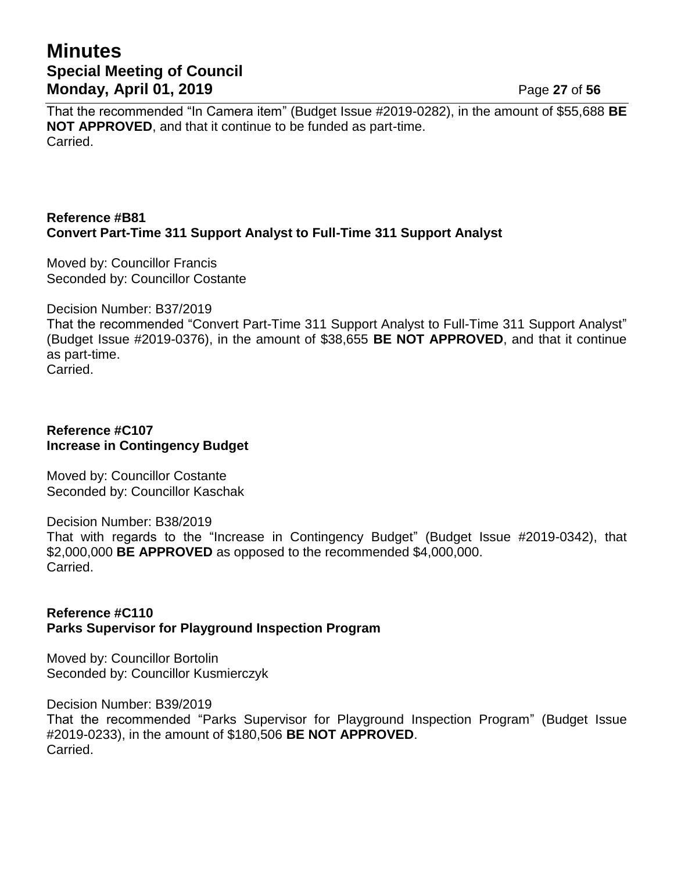## **Minutes Special Meeting of Council Monday, April 01, 2019 Page 27** of 56

That the recommended "In Camera item" (Budget Issue #2019-0282), in the amount of \$55,688 **BE NOT APPROVED**, and that it continue to be funded as part-time. Carried.

## **Reference #B81 Convert Part-Time 311 Support Analyst to Full-Time 311 Support Analyst**

Moved by: Councillor Francis Seconded by: Councillor Costante

Decision Number: B37/2019

That the recommended "Convert Part-Time 311 Support Analyst to Full-Time 311 Support Analyst" (Budget Issue #2019-0376), in the amount of \$38,655 **BE NOT APPROVED**, and that it continue as part-time.

Carried.

#### **Reference #C107 Increase in Contingency Budget**

Moved by: Councillor Costante Seconded by: Councillor Kaschak

Decision Number: B38/2019

That with regards to the "Increase in Contingency Budget" (Budget Issue #2019-0342), that \$2,000,000 **BE APPROVED** as opposed to the recommended \$4,000,000. Carried.

#### **Reference #C110 Parks Supervisor for Playground Inspection Program**

Moved by: Councillor Bortolin Seconded by: Councillor Kusmierczyk

Decision Number: B39/2019 That the recommended "Parks Supervisor for Playground Inspection Program" (Budget Issue #2019-0233), in the amount of \$180,506 **BE NOT APPROVED**. Carried.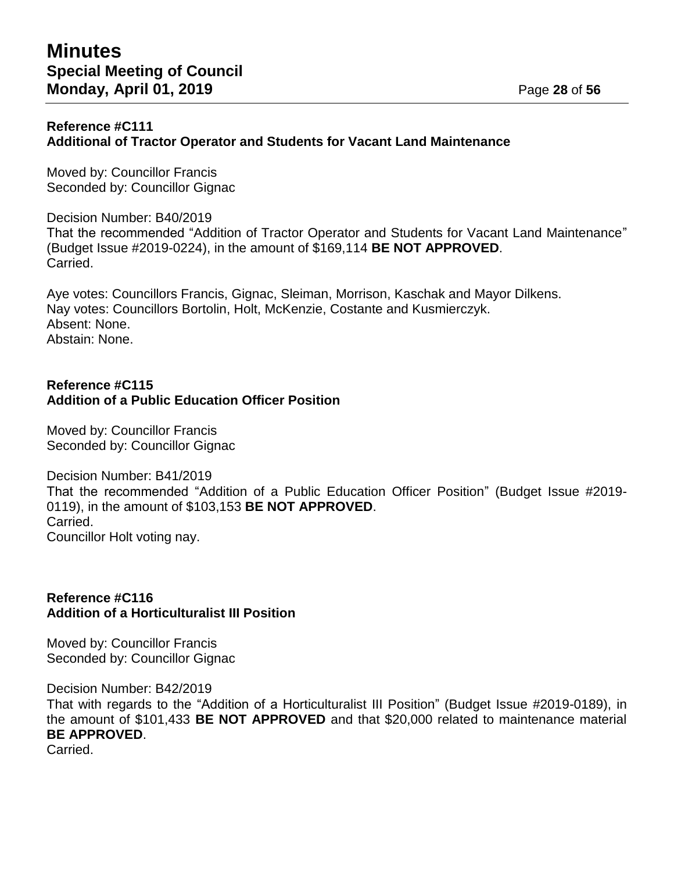#### **Reference #C111 Additional of Tractor Operator and Students for Vacant Land Maintenance**

Moved by: Councillor Francis Seconded by: Councillor Gignac

Decision Number: B40/2019 That the recommended "Addition of Tractor Operator and Students for Vacant Land Maintenance" (Budget Issue #2019-0224), in the amount of \$169,114 **BE NOT APPROVED**. Carried.

Aye votes: Councillors Francis, Gignac, Sleiman, Morrison, Kaschak and Mayor Dilkens. Nay votes: Councillors Bortolin, Holt, McKenzie, Costante and Kusmierczyk. Absent: None. Abstain: None.

#### **Reference #C115 Addition of a Public Education Officer Position**

Moved by: Councillor Francis Seconded by: Councillor Gignac

Decision Number: B41/2019 That the recommended "Addition of a Public Education Officer Position" (Budget Issue #2019- 0119), in the amount of \$103,153 **BE NOT APPROVED**. Carried. Councillor Holt voting nay.

#### **Reference #C116 Addition of a Horticulturalist III Position**

Moved by: Councillor Francis Seconded by: Councillor Gignac

Decision Number: B42/2019 That with regards to the "Addition of a Horticulturalist III Position" (Budget Issue #2019-0189), in the amount of \$101,433 **BE NOT APPROVED** and that \$20,000 related to maintenance material **BE APPROVED**.

Carried.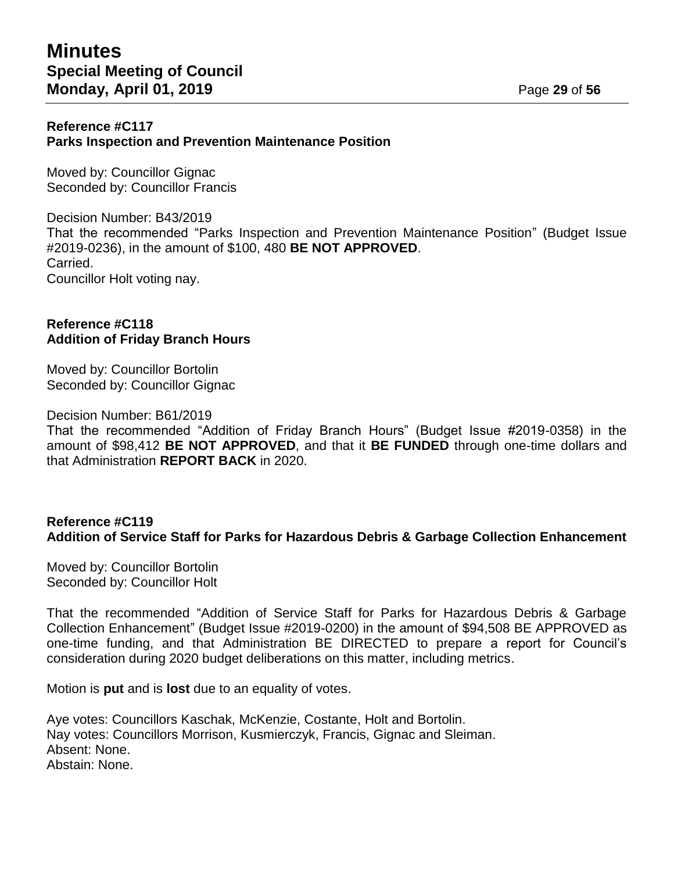#### **Reference #C117 Parks Inspection and Prevention Maintenance Position**

Moved by: Councillor Gignac Seconded by: Councillor Francis

Decision Number: B43/2019 That the recommended "Parks Inspection and Prevention Maintenance Position" (Budget Issue #2019-0236), in the amount of \$100, 480 **BE NOT APPROVED**. Carried. Councillor Holt voting nay.

#### **Reference #C118 Addition of Friday Branch Hours**

Moved by: Councillor Bortolin Seconded by: Councillor Gignac

Decision Number: B61/2019

That the recommended "Addition of Friday Branch Hours" (Budget Issue #2019-0358) in the amount of \$98,412 **BE NOT APPROVED**, and that it **BE FUNDED** through one-time dollars and that Administration **REPORT BACK** in 2020.

#### **Reference #C119 Addition of Service Staff for Parks for Hazardous Debris & Garbage Collection Enhancement**

Moved by: Councillor Bortolin Seconded by: Councillor Holt

That the recommended "Addition of Service Staff for Parks for Hazardous Debris & Garbage Collection Enhancement" (Budget Issue #2019-0200) in the amount of \$94,508 BE APPROVED as one-time funding, and that Administration BE DIRECTED to prepare a report for Council's consideration during 2020 budget deliberations on this matter, including metrics.

Motion is **put** and is **lost** due to an equality of votes.

Aye votes: Councillors Kaschak, McKenzie, Costante, Holt and Bortolin. Nay votes: Councillors Morrison, Kusmierczyk, Francis, Gignac and Sleiman. Absent: None. Abstain: None.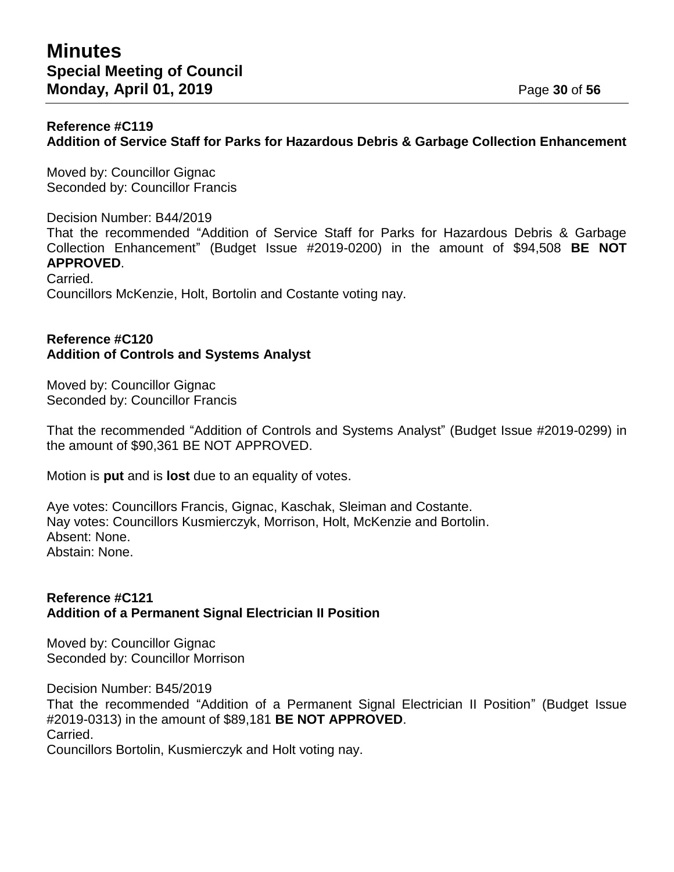#### **Reference #C119 Addition of Service Staff for Parks for Hazardous Debris & Garbage Collection Enhancement**

Moved by: Councillor Gignac Seconded by: Councillor Francis

Decision Number: B44/2019 That the recommended "Addition of Service Staff for Parks for Hazardous Debris & Garbage Collection Enhancement" (Budget Issue #2019-0200) in the amount of \$94,508 **BE NOT APPROVED**. Carried.

Councillors McKenzie, Holt, Bortolin and Costante voting nay.

### **Reference #C120 Addition of Controls and Systems Analyst**

Moved by: Councillor Gignac Seconded by: Councillor Francis

That the recommended "Addition of Controls and Systems Analyst" (Budget Issue #2019-0299) in the amount of \$90,361 BE NOT APPROVED.

Motion is **put** and is **lost** due to an equality of votes.

Aye votes: Councillors Francis, Gignac, Kaschak, Sleiman and Costante. Nay votes: Councillors Kusmierczyk, Morrison, Holt, McKenzie and Bortolin. Absent: None. Abstain: None.

### **Reference #C121 Addition of a Permanent Signal Electrician II Position**

Moved by: Councillor Gignac Seconded by: Councillor Morrison

Decision Number: B45/2019 That the recommended "Addition of a Permanent Signal Electrician II Position" (Budget Issue #2019-0313) in the amount of \$89,181 **BE NOT APPROVED**. Carried. Councillors Bortolin, Kusmierczyk and Holt voting nay.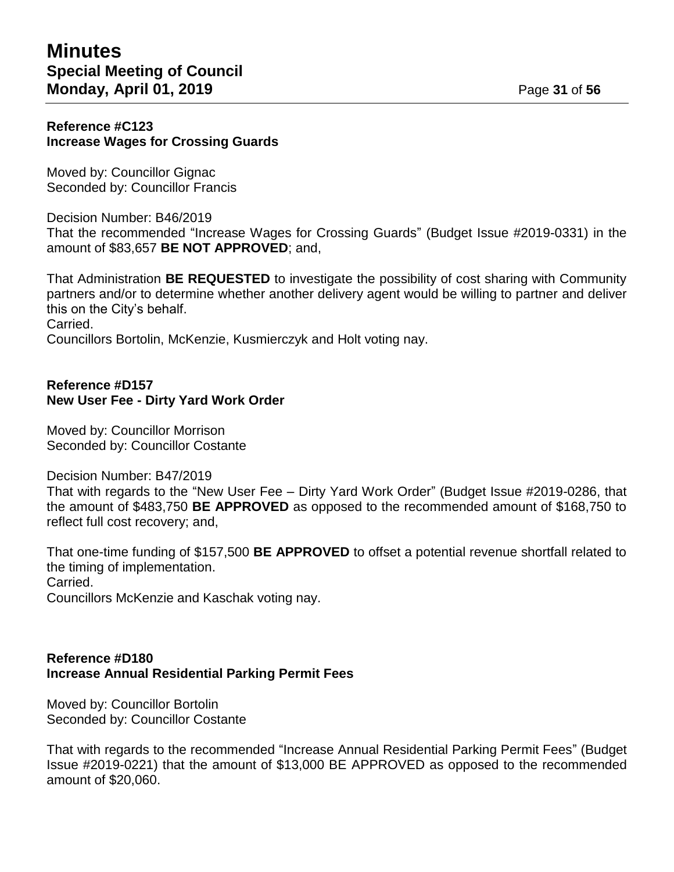#### **Reference #C123 Increase Wages for Crossing Guards**

Moved by: Councillor Gignac Seconded by: Councillor Francis

Decision Number: B46/2019 That the recommended "Increase Wages for Crossing Guards" (Budget Issue #2019-0331) in the amount of \$83,657 **BE NOT APPROVED**; and,

That Administration **BE REQUESTED** to investigate the possibility of cost sharing with Community partners and/or to determine whether another delivery agent would be willing to partner and deliver this on the City's behalf. Carried. Councillors Bortolin, McKenzie, Kusmierczyk and Holt voting nay.

#### **Reference #D157 New User Fee - Dirty Yard Work Order**

Moved by: Councillor Morrison Seconded by: Councillor Costante

Decision Number: B47/2019

That with regards to the "New User Fee – Dirty Yard Work Order" (Budget Issue #2019-0286, that the amount of \$483,750 **BE APPROVED** as opposed to the recommended amount of \$168,750 to reflect full cost recovery; and,

That one-time funding of \$157,500 **BE APPROVED** to offset a potential revenue shortfall related to the timing of implementation. Carried.

Councillors McKenzie and Kaschak voting nay.

### **Reference #D180 Increase Annual Residential Parking Permit Fees**

Moved by: Councillor Bortolin Seconded by: Councillor Costante

That with regards to the recommended "Increase Annual Residential Parking Permit Fees" (Budget Issue #2019-0221) that the amount of \$13,000 BE APPROVED as opposed to the recommended amount of \$20,060.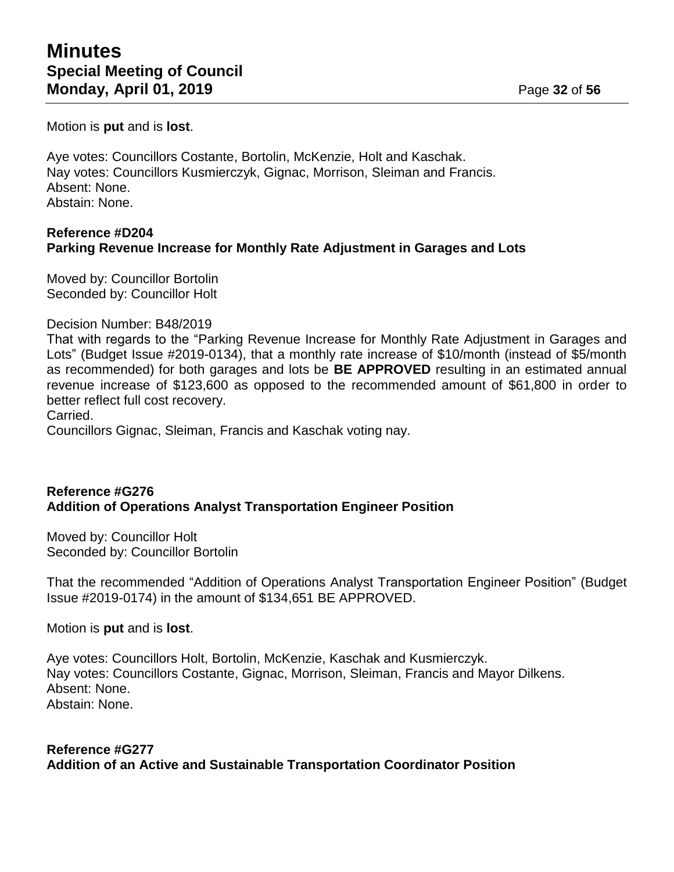Motion is **put** and is **lost**.

Aye votes: Councillors Costante, Bortolin, McKenzie, Holt and Kaschak. Nay votes: Councillors Kusmierczyk, Gignac, Morrison, Sleiman and Francis. Absent: None. Abstain: None.

### **Reference #D204 Parking Revenue Increase for Monthly Rate Adjustment in Garages and Lots**

Moved by: Councillor Bortolin Seconded by: Councillor Holt

#### Decision Number: B48/2019

That with regards to the "Parking Revenue Increase for Monthly Rate Adjustment in Garages and Lots" (Budget Issue #2019-0134), that a monthly rate increase of \$10/month (instead of \$5/month as recommended) for both garages and lots be **BE APPROVED** resulting in an estimated annual revenue increase of \$123,600 as opposed to the recommended amount of \$61,800 in order to better reflect full cost recovery.

Carried.

Councillors Gignac, Sleiman, Francis and Kaschak voting nay.

#### **Reference #G276 Addition of Operations Analyst Transportation Engineer Position**

Moved by: Councillor Holt Seconded by: Councillor Bortolin

That the recommended "Addition of Operations Analyst Transportation Engineer Position" (Budget Issue #2019-0174) in the amount of \$134,651 BE APPROVED.

Motion is **put** and is **lost**.

Aye votes: Councillors Holt, Bortolin, McKenzie, Kaschak and Kusmierczyk. Nay votes: Councillors Costante, Gignac, Morrison, Sleiman, Francis and Mayor Dilkens. Absent: None. Abstain: None.

#### **Reference #G277**

**Addition of an Active and Sustainable Transportation Coordinator Position**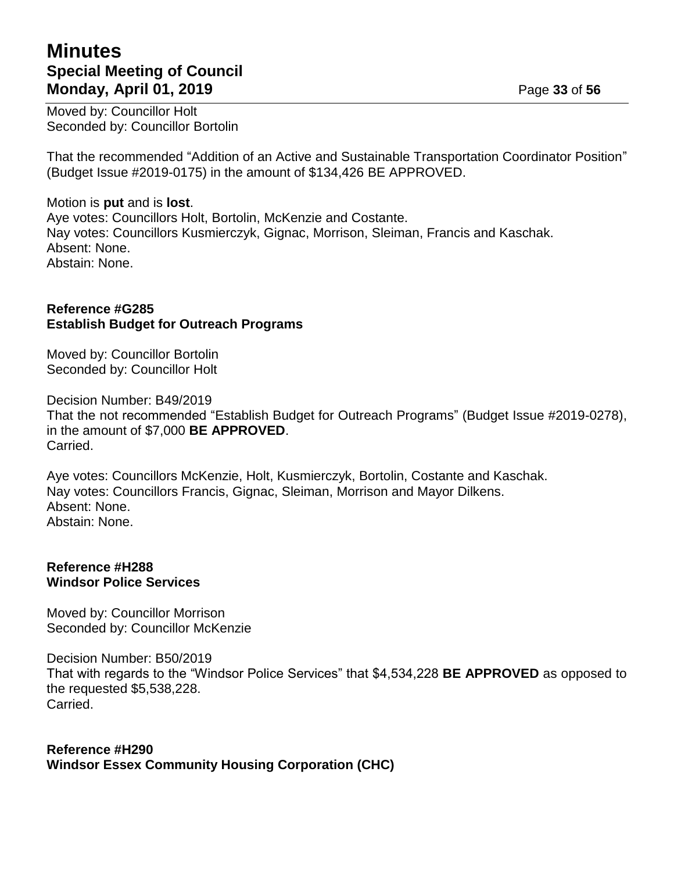## **Minutes Special Meeting of Council Monday, April 01, 2019 Page 33** of 56

Moved by: Councillor Holt Seconded by: Councillor Bortolin

That the recommended "Addition of an Active and Sustainable Transportation Coordinator Position" (Budget Issue #2019-0175) in the amount of \$134,426 BE APPROVED.

Motion is **put** and is **lost**. Aye votes: Councillors Holt, Bortolin, McKenzie and Costante. Nay votes: Councillors Kusmierczyk, Gignac, Morrison, Sleiman, Francis and Kaschak. Absent: None. Abstain: None.

#### **Reference #G285 Establish Budget for Outreach Programs**

Moved by: Councillor Bortolin Seconded by: Councillor Holt

Decision Number: B49/2019 That the not recommended "Establish Budget for Outreach Programs" (Budget Issue #2019-0278), in the amount of \$7,000 **BE APPROVED**. Carried.

Aye votes: Councillors McKenzie, Holt, Kusmierczyk, Bortolin, Costante and Kaschak. Nay votes: Councillors Francis, Gignac, Sleiman, Morrison and Mayor Dilkens. Absent: None. Abstain: None.

#### **Reference #H288 Windsor Police Services**

Moved by: Councillor Morrison Seconded by: Councillor McKenzie

Decision Number: B50/2019 That with regards to the "Windsor Police Services" that \$4,534,228 **BE APPROVED** as opposed to the requested \$5,538,228. Carried.

## **Reference #H290 Windsor Essex Community Housing Corporation (CHC)**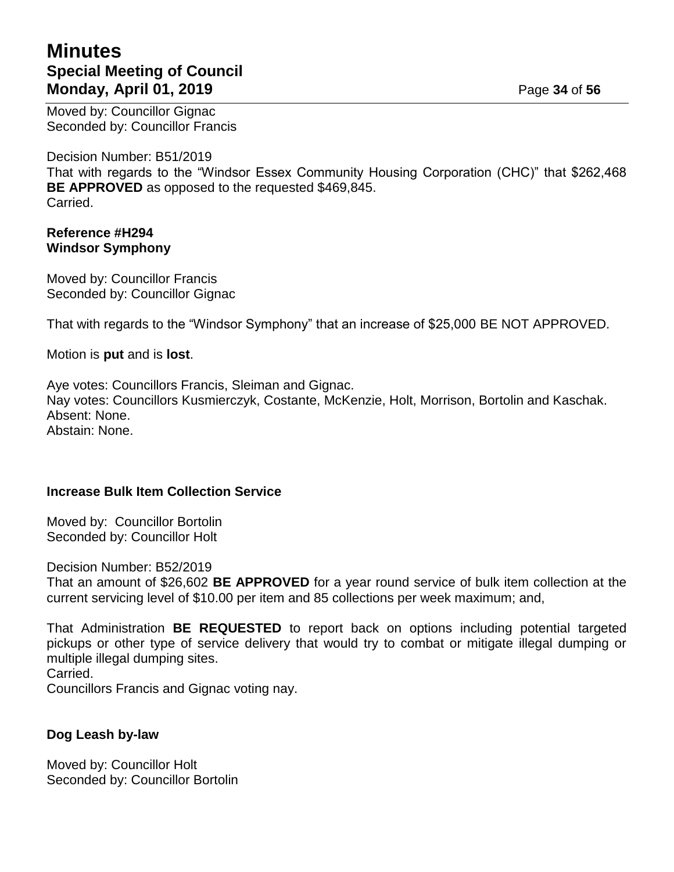## **Minutes Special Meeting of Council Monday, April 01, 2019 Page 34 of 56**

Moved by: Councillor Gignac Seconded by: Councillor Francis

Decision Number: B51/2019 That with regards to the "Windsor Essex Community Housing Corporation (CHC)" that \$262,468 **BE APPROVED** as opposed to the requested \$469,845. Carried.

#### **Reference #H294 Windsor Symphony**

Moved by: Councillor Francis Seconded by: Councillor Gignac

That with regards to the "Windsor Symphony" that an increase of \$25,000 BE NOT APPROVED.

Motion is **put** and is **lost**.

Aye votes: Councillors Francis, Sleiman and Gignac. Nay votes: Councillors Kusmierczyk, Costante, McKenzie, Holt, Morrison, Bortolin and Kaschak. Absent: None. Abstain: None.

#### **Increase Bulk Item Collection Service**

Moved by: Councillor Bortolin Seconded by: Councillor Holt

Decision Number: B52/2019

That an amount of \$26,602 **BE APPROVED** for a year round service of bulk item collection at the current servicing level of \$10.00 per item and 85 collections per week maximum; and,

That Administration **BE REQUESTED** to report back on options including potential targeted pickups or other type of service delivery that would try to combat or mitigate illegal dumping or multiple illegal dumping sites.

Carried.

Councillors Francis and Gignac voting nay.

#### **Dog Leash by-law**

Moved by: Councillor Holt Seconded by: Councillor Bortolin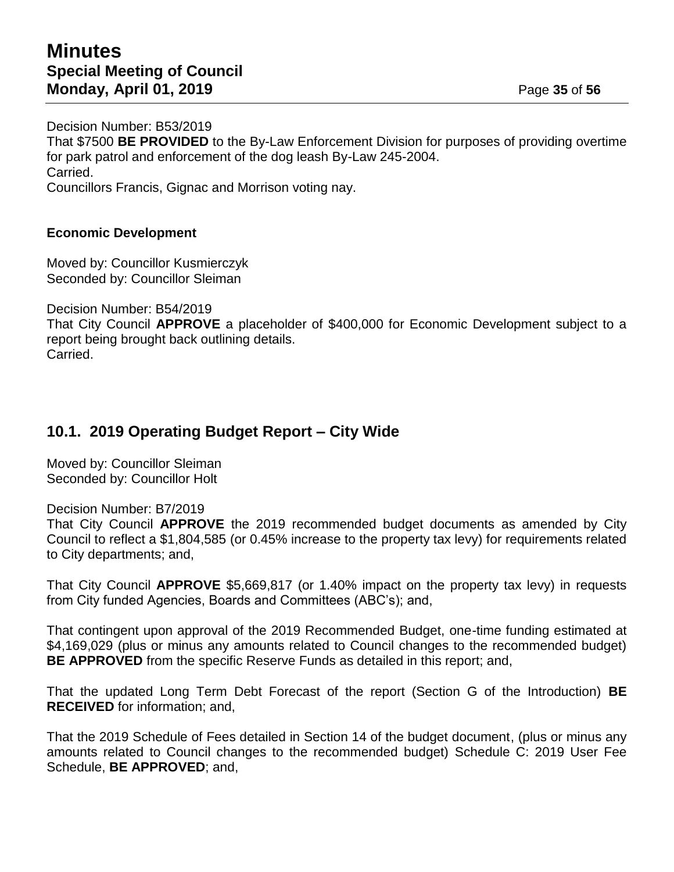Decision Number: B53/2019 That \$7500 **BE PROVIDED** to the By-Law Enforcement Division for purposes of providing overtime for park patrol and enforcement of the dog leash By-Law 245-2004. Carried. Councillors Francis, Gignac and Morrison voting nay.

#### **Economic Development**

Moved by: Councillor Kusmierczyk Seconded by: Councillor Sleiman

Decision Number: B54/2019

That City Council **APPROVE** a placeholder of \$400,000 for Economic Development subject to a report being brought back outlining details. Carried.

## **10.1. 2019 Operating Budget Report – City Wide**

Moved by: Councillor Sleiman Seconded by: Councillor Holt

Decision Number: B7/2019

That City Council **APPROVE** the 2019 recommended budget documents as amended by City Council to reflect a \$1,804,585 (or 0.45% increase to the property tax levy) for requirements related to City departments; and,

That City Council **APPROVE** \$5,669,817 (or 1.40% impact on the property tax levy) in requests from City funded Agencies, Boards and Committees (ABC's); and,

That contingent upon approval of the 2019 Recommended Budget, one-time funding estimated at \$4,169,029 (plus or minus any amounts related to Council changes to the recommended budget) **BE APPROVED** from the specific Reserve Funds as detailed in this report; and,

That the updated Long Term Debt Forecast of the report (Section G of the Introduction) **BE RECEIVED** for information; and,

That the 2019 Schedule of Fees detailed in Section 14 of the budget document, (plus or minus any amounts related to Council changes to the recommended budget) Schedule C: 2019 User Fee Schedule, **BE APPROVED**; and,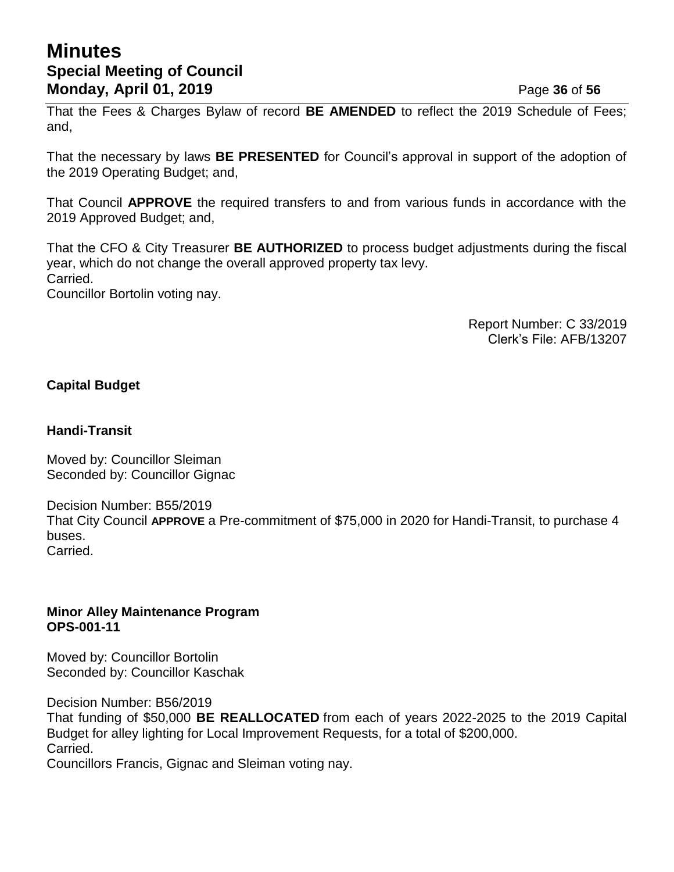## **Minutes Special Meeting of Council Monday, April 01, 2019 Page 36** of 56

That the Fees & Charges Bylaw of record **BE AMENDED** to reflect the 2019 Schedule of Fees; and,

That the necessary by laws **BE PRESENTED** for Council's approval in support of the adoption of the 2019 Operating Budget; and,

That Council **APPROVE** the required transfers to and from various funds in accordance with the 2019 Approved Budget; and,

That the CFO & City Treasurer **BE AUTHORIZED** to process budget adjustments during the fiscal year, which do not change the overall approved property tax levy. Carried. Councillor Bortolin voting nay.

> Report Number: C 33/2019 Clerk's File: AFB/13207

### **Capital Budget**

#### **Handi-Transit**

Moved by: Councillor Sleiman Seconded by: Councillor Gignac

Decision Number: B55/2019 That City Council **APPROVE** a Pre-commitment of \$75,000 in 2020 for Handi-Transit, to purchase 4 buses. Carried.

#### **Minor Alley Maintenance Program OPS-001-11**

Moved by: Councillor Bortolin Seconded by: Councillor Kaschak

Decision Number: B56/2019

That funding of \$50,000 **BE REALLOCATED** from each of years 2022-2025 to the 2019 Capital Budget for alley lighting for Local Improvement Requests, for a total of \$200,000. Carried.

Councillors Francis, Gignac and Sleiman voting nay.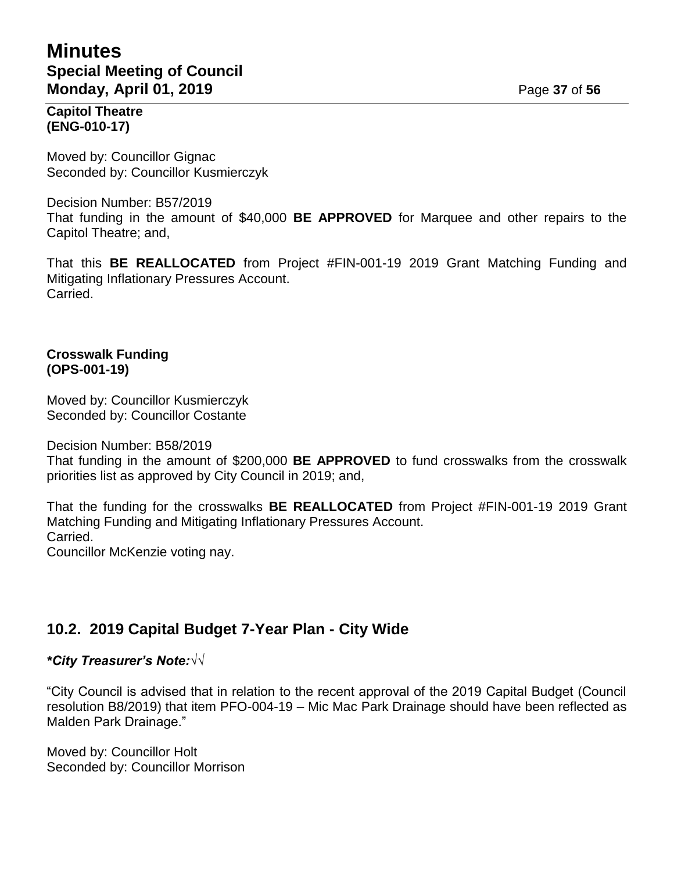## **Minutes Special Meeting of Council Monday, April 01, 2019 Page 37** of 56

#### **Capitol Theatre (ENG-010-17)**

Moved by: Councillor Gignac Seconded by: Councillor Kusmierczyk

Decision Number: B57/2019 That funding in the amount of \$40,000 **BE APPROVED** for Marquee and other repairs to the Capitol Theatre; and,

That this **BE REALLOCATED** from Project #FIN-001-19 2019 Grant Matching Funding and Mitigating Inflationary Pressures Account. Carried.

#### **Crosswalk Funding (OPS-001-19)**

Moved by: Councillor Kusmierczyk Seconded by: Councillor Costante

Decision Number: B58/2019

That funding in the amount of \$200,000 **BE APPROVED** to fund crosswalks from the crosswalk priorities list as approved by City Council in 2019; and,

That the funding for the crosswalks **BE REALLOCATED** from Project #FIN-001-19 2019 Grant Matching Funding and Mitigating Inflationary Pressures Account. Carried. Councillor McKenzie voting nay.

## **10.2. 2019 Capital Budget 7-Year Plan - City Wide**

## *\*City Treasurer's Note:√√*

"City Council is advised that in relation to the recent approval of the 2019 Capital Budget (Council resolution B8/2019) that item PFO-004-19 – Mic Mac Park Drainage should have been reflected as Malden Park Drainage."

Moved by: Councillor Holt Seconded by: Councillor Morrison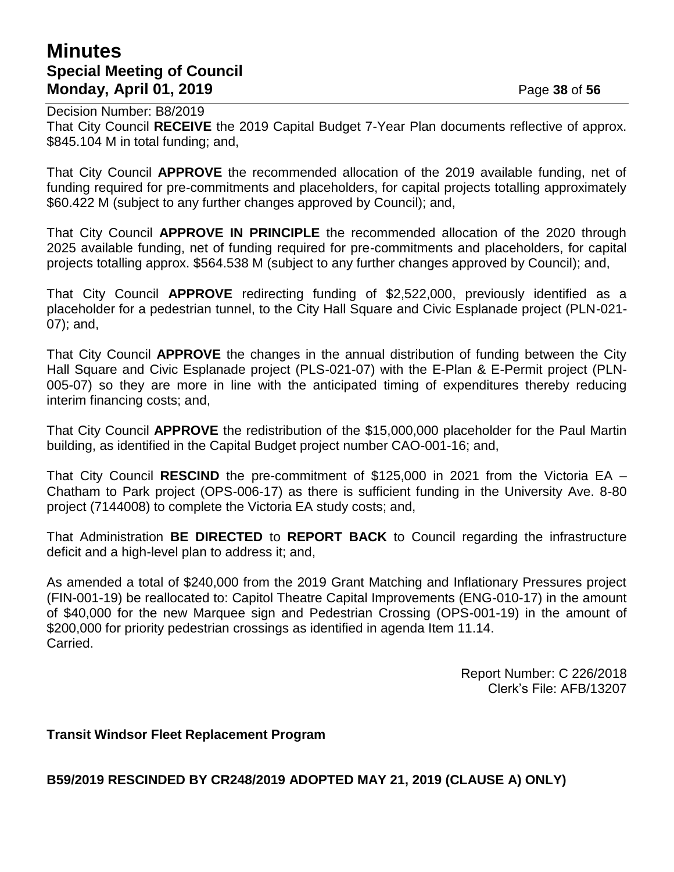## **Minutes Special Meeting of Council Monday, April 01, 2019 Page 38** of 56

Decision Number: B8/2019 That City Council **RECEIVE** the 2019 Capital Budget 7-Year Plan documents reflective of approx. \$845.104 M in total funding; and,

That City Council **APPROVE** the recommended allocation of the 2019 available funding, net of funding required for pre-commitments and placeholders, for capital projects totalling approximately \$60.422 M (subject to any further changes approved by Council); and,

That City Council **APPROVE IN PRINCIPLE** the recommended allocation of the 2020 through 2025 available funding, net of funding required for pre-commitments and placeholders, for capital projects totalling approx. \$564.538 M (subject to any further changes approved by Council); and,

That City Council **APPROVE** redirecting funding of \$2,522,000, previously identified as a placeholder for a pedestrian tunnel, to the City Hall Square and Civic Esplanade project (PLN-021- 07); and,

That City Council **APPROVE** the changes in the annual distribution of funding between the City Hall Square and Civic Esplanade project (PLS-021-07) with the E-Plan & E-Permit project (PLN-005-07) so they are more in line with the anticipated timing of expenditures thereby reducing interim financing costs; and,

That City Council **APPROVE** the redistribution of the \$15,000,000 placeholder for the Paul Martin building, as identified in the Capital Budget project number CAO-001-16; and,

That City Council **RESCIND** the pre-commitment of \$125,000 in 2021 from the Victoria EA – Chatham to Park project (OPS-006-17) as there is sufficient funding in the University Ave. 8-80 project (7144008) to complete the Victoria EA study costs; and,

That Administration **BE DIRECTED** to **REPORT BACK** to Council regarding the infrastructure deficit and a high-level plan to address it; and,

As amended a total of \$240,000 from the 2019 Grant Matching and Inflationary Pressures project (FIN-001-19) be reallocated to: Capitol Theatre Capital Improvements (ENG-010-17) in the amount of \$40,000 for the new Marquee sign and Pedestrian Crossing (OPS-001-19) in the amount of \$200,000 for priority pedestrian crossings as identified in agenda Item 11.14. Carried.

> Report Number: C 226/2018 Clerk's File: AFB/13207

**Transit Windsor Fleet Replacement Program**

**B59/2019 RESCINDED BY CR248/2019 ADOPTED MAY 21, 2019 (CLAUSE A) ONLY)**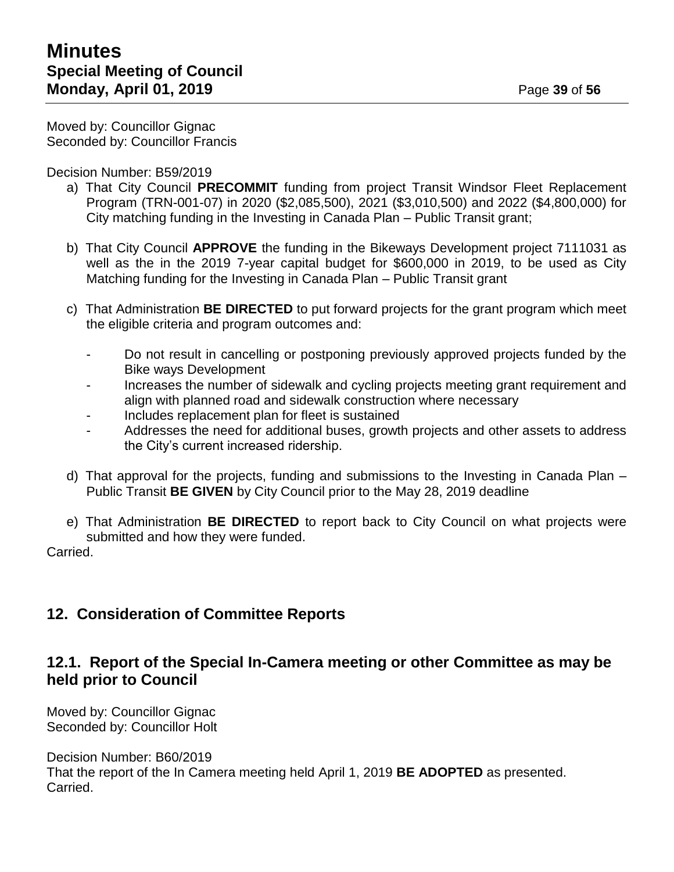Moved by: Councillor Gignac Seconded by: Councillor Francis

Decision Number: B59/2019

- a) That City Council **PRECOMMIT** funding from project Transit Windsor Fleet Replacement Program (TRN-001-07) in 2020 (\$2,085,500), 2021 (\$3,010,500) and 2022 (\$4,800,000) for City matching funding in the Investing in Canada Plan – Public Transit grant;
- b) That City Council **APPROVE** the funding in the Bikeways Development project 7111031 as well as the in the 2019 7-year capital budget for \$600,000 in 2019, to be used as City Matching funding for the Investing in Canada Plan – Public Transit grant
- c) That Administration **BE DIRECTED** to put forward projects for the grant program which meet the eligible criteria and program outcomes and:
	- Do not result in cancelling or postponing previously approved projects funded by the Bike ways Development
	- Increases the number of sidewalk and cycling projects meeting grant requirement and align with planned road and sidewalk construction where necessary
	- Includes replacement plan for fleet is sustained
	- Addresses the need for additional buses, growth projects and other assets to address the City's current increased ridership.
- d) That approval for the projects, funding and submissions to the Investing in Canada Plan Public Transit **BE GIVEN** by City Council prior to the May 28, 2019 deadline
- e) That Administration **BE DIRECTED** to report back to City Council on what projects were submitted and how they were funded.

Carried.

## **12. Consideration of Committee Reports**

## **12.1. Report of the Special In-Camera meeting or other Committee as may be held prior to Council**

Moved by: Councillor Gignac Seconded by: Councillor Holt

Decision Number: B60/2019 That the report of the In Camera meeting held April 1, 2019 **BE ADOPTED** as presented. Carried.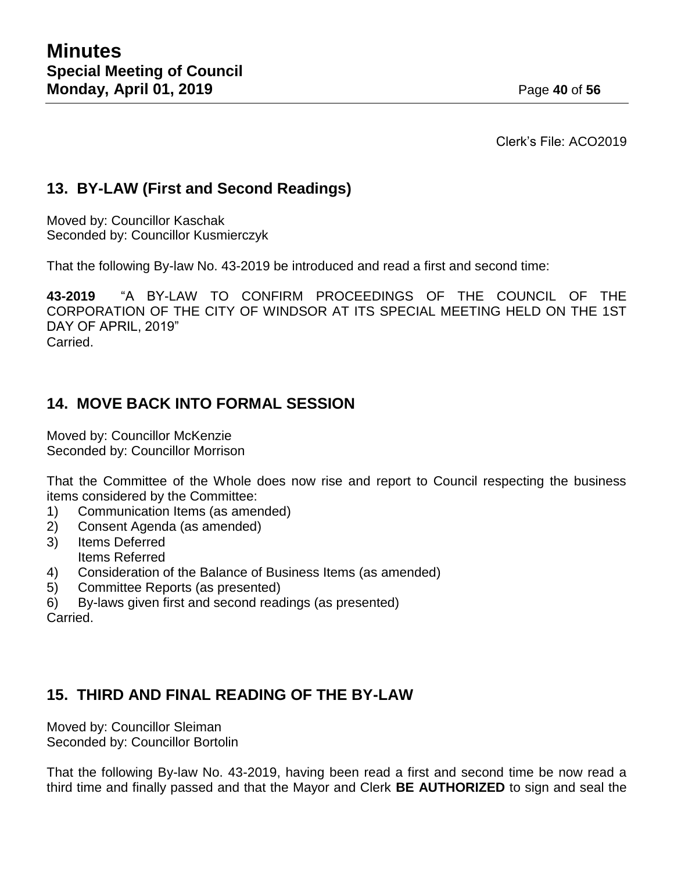Clerk's File: ACO2019

## **13. BY-LAW (First and Second Readings)**

Moved by: Councillor Kaschak Seconded by: Councillor Kusmierczyk

That the following By-law No. 43-2019 be introduced and read a first and second time:

**43-2019** "A BY-LAW TO CONFIRM PROCEEDINGS OF THE COUNCIL OF THE CORPORATION OF THE CITY OF WINDSOR AT ITS SPECIAL MEETING HELD ON THE 1ST DAY OF APRIL, 2019" Carried.

## **14. MOVE BACK INTO FORMAL SESSION**

Moved by: Councillor McKenzie Seconded by: Councillor Morrison

That the Committee of the Whole does now rise and report to Council respecting the business items considered by the Committee:

- 1) Communication Items (as amended)
- 2) Consent Agenda (as amended)
- 3) Items Deferred Items Referred
- 4) Consideration of the Balance of Business Items (as amended)
- 5) Committee Reports (as presented)
- 6) By-laws given first and second readings (as presented) Carried.

## **15. THIRD AND FINAL READING OF THE BY-LAW**

Moved by: Councillor Sleiman Seconded by: Councillor Bortolin

That the following By-law No. 43-2019, having been read a first and second time be now read a third time and finally passed and that the Mayor and Clerk **BE AUTHORIZED** to sign and seal the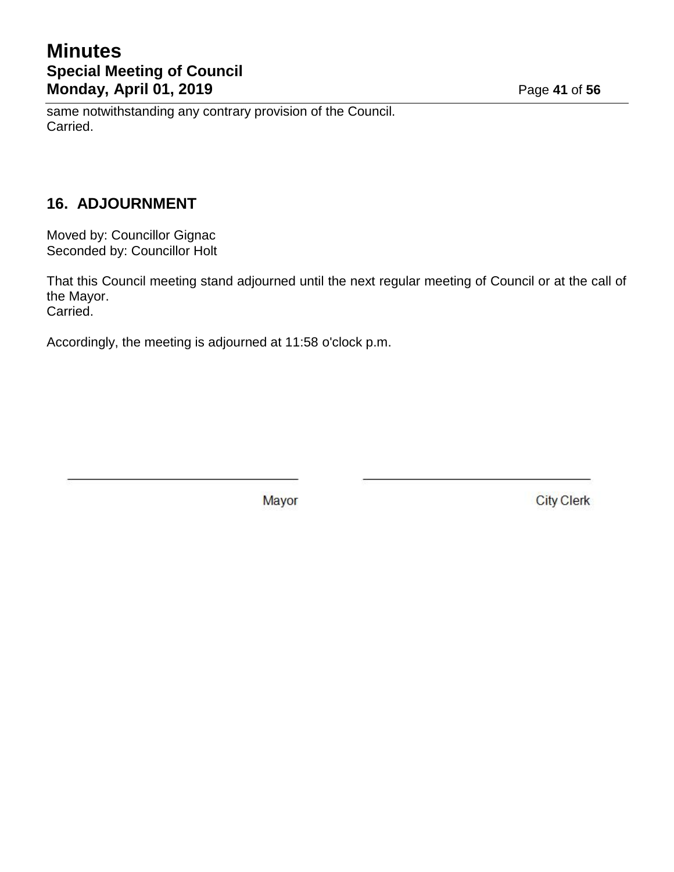# **Minutes Special Meeting of Council Monday, April 01, 2019 Page 41 of 56**

same notwithstanding any contrary provision of the Council. Carried.

## **16. ADJOURNMENT**

Moved by: Councillor Gignac Seconded by: Councillor Holt

That this Council meeting stand adjourned until the next regular meeting of Council or at the call of the Mayor. Carried.

Accordingly, the meeting is adjourned at 11:58 o'clock p.m.

Mayor

**City Clerk**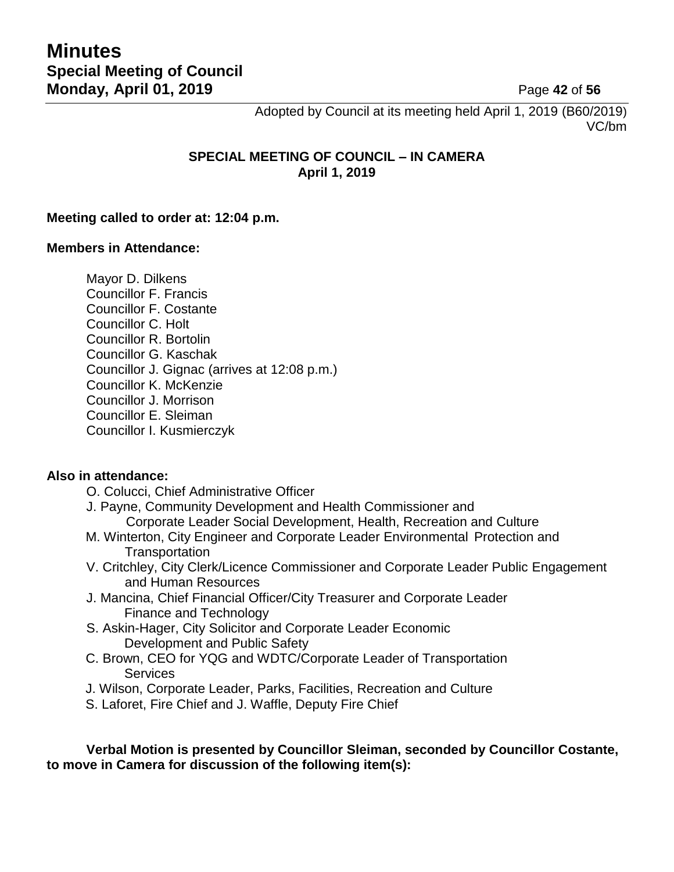Adopted by Council at its meeting held April 1, 2019 (B60/2019) VC/bm

#### **SPECIAL MEETING OF COUNCIL – IN CAMERA April 1, 2019**

#### **Meeting called to order at: 12:04 p.m.**

#### **Members in Attendance:**

Mayor D. Dilkens Councillor F. Francis Councillor F. Costante Councillor C. Holt Councillor R. Bortolin Councillor G. Kaschak Councillor J. Gignac (arrives at 12:08 p.m.) Councillor K. McKenzie Councillor J. Morrison Councillor E. Sleiman Councillor I. Kusmierczyk

#### **Also in attendance:**

O. Colucci, Chief Administrative Officer

- J. Payne, Community Development and Health Commissioner and Corporate Leader Social Development, Health, Recreation and Culture
- M. Winterton, City Engineer and Corporate Leader Environmental Protection and **Transportation**
- V. Critchley, City Clerk/Licence Commissioner and Corporate Leader Public Engagement and Human Resources
- J. Mancina, Chief Financial Officer/City Treasurer and Corporate Leader Finance and Technology
- S. Askin-Hager, City Solicitor and Corporate Leader Economic Development and Public Safety
- C. Brown, CEO for YQG and WDTC/Corporate Leader of Transportation **Services**
- J. Wilson, Corporate Leader, Parks, Facilities, Recreation and Culture
- S. Laforet, Fire Chief and J. Waffle, Deputy Fire Chief

**Verbal Motion is presented by Councillor Sleiman, seconded by Councillor Costante, to move in Camera for discussion of the following item(s):**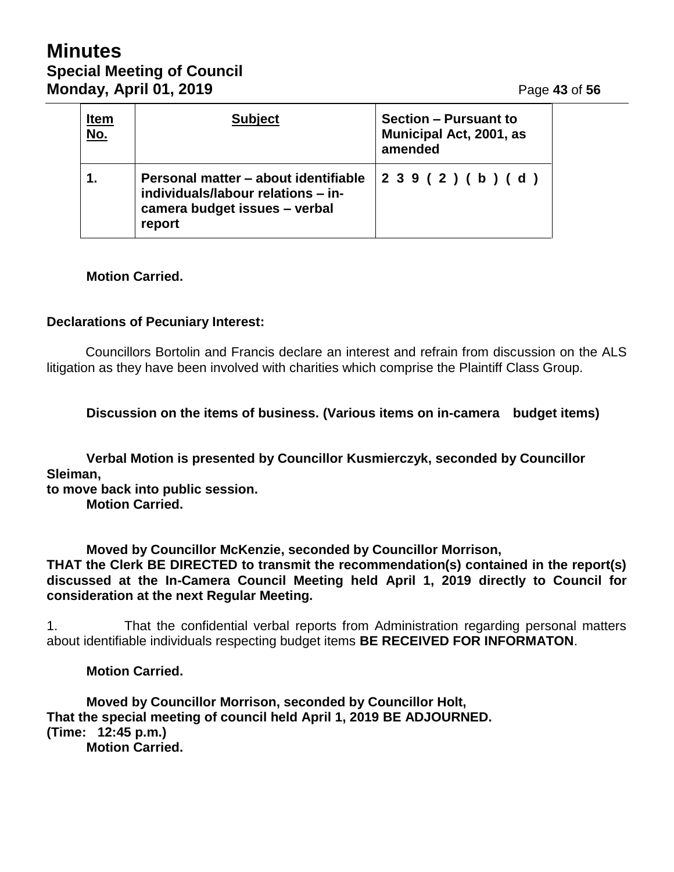# **Minutes Special Meeting of Council Monday, April 01, 2019 Page 43 of 56**

| <u>Item</u><br>$N$ o. | <b>Subject</b>                                                                                                        | <b>Section - Pursuant to</b><br>Municipal Act, 2001, as<br>amended |
|-----------------------|-----------------------------------------------------------------------------------------------------------------------|--------------------------------------------------------------------|
|                       | Personal matter - about identifiable<br>individuals/labour relations - in-<br>camera budget issues - verbal<br>report | 239(2)(b)(d)                                                       |

#### **Motion Carried.**

#### **Declarations of Pecuniary Interest:**

Councillors Bortolin and Francis declare an interest and refrain from discussion on the ALS litigation as they have been involved with charities which comprise the Plaintiff Class Group.

**Discussion on the items of business. (Various items on in-camera budget items)**

**Verbal Motion is presented by Councillor Kusmierczyk, seconded by Councillor Sleiman,**

**to move back into public session. Motion Carried.**

**Moved by Councillor McKenzie, seconded by Councillor Morrison, THAT the Clerk BE DIRECTED to transmit the recommendation(s) contained in the report(s) discussed at the In-Camera Council Meeting held April 1, 2019 directly to Council for consideration at the next Regular Meeting.**

1. That the confidential verbal reports from Administration regarding personal matters about identifiable individuals respecting budget items **BE RECEIVED FOR INFORMATON**.

**Motion Carried.**

**Moved by Councillor Morrison, seconded by Councillor Holt, That the special meeting of council held April 1, 2019 BE ADJOURNED. (Time: 12:45 p.m.) Motion Carried.**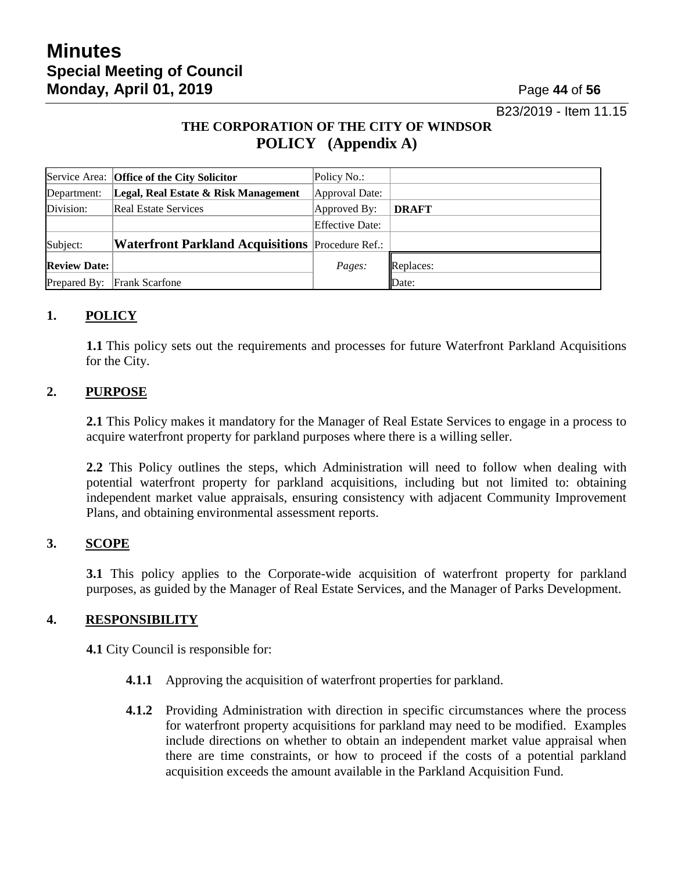B23/2019 - Item 11.15

## **THE CORPORATION OF THE CITY OF WINDSOR POLICY (Appendix A)**

|                     | Service Area: Office of the City Solicitor              | Policy No.:            |              |
|---------------------|---------------------------------------------------------|------------------------|--------------|
| Department:         | Legal, Real Estate & Risk Management                    | Approval Date:         |              |
| Division:           | <b>Real Estate Services</b>                             | Approved By:           | <b>DRAFT</b> |
|                     |                                                         | <b>Effective Date:</b> |              |
| Subject:            | <b>Waterfront Parkland Acquisitions</b> Procedure Ref.: |                        |              |
| <b>Review Date:</b> |                                                         | Pages:                 | Replaces:    |
| Prepared By:        | <b>Frank Scarfone</b>                                   |                        | Date:        |

### **1. POLICY**

**1.1** This policy sets out the requirements and processes for future Waterfront Parkland Acquisitions for the City.

#### **2. PURPOSE**

**2.1** This Policy makes it mandatory for the Manager of Real Estate Services to engage in a process to acquire waterfront property for parkland purposes where there is a willing seller.

**2.2** This Policy outlines the steps, which Administration will need to follow when dealing with potential waterfront property for parkland acquisitions, including but not limited to: obtaining independent market value appraisals, ensuring consistency with adjacent Community Improvement Plans, and obtaining environmental assessment reports.

#### **3. SCOPE**

**3.1** This policy applies to the Corporate-wide acquisition of waterfront property for parkland purposes, as guided by the Manager of Real Estate Services, and the Manager of Parks Development.

#### **4. RESPONSIBILITY**

**4.1** City Council is responsible for:

- **4.1.1** Approving the acquisition of waterfront properties for parkland.
- **4.1.2** Providing Administration with direction in specific circumstances where the process for waterfront property acquisitions for parkland may need to be modified. Examples include directions on whether to obtain an independent market value appraisal when there are time constraints, or how to proceed if the costs of a potential parkland acquisition exceeds the amount available in the Parkland Acquisition Fund.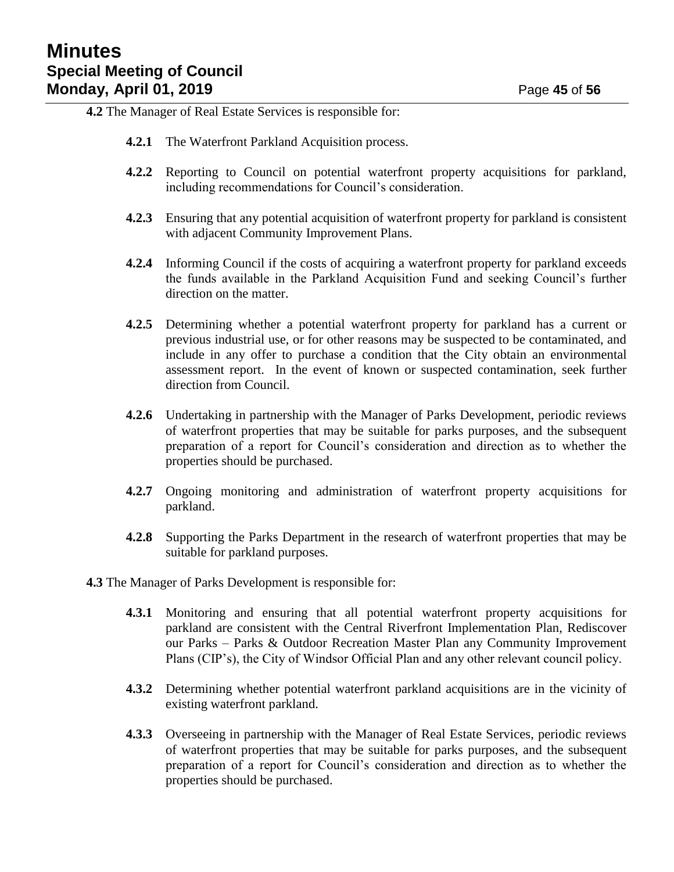**4.2** The Manager of Real Estate Services is responsible for:

- **4.2.1** The Waterfront Parkland Acquisition process.
- **4.2.2** Reporting to Council on potential waterfront property acquisitions for parkland, including recommendations for Council's consideration.
- **4.2.3** Ensuring that any potential acquisition of waterfront property for parkland is consistent with adjacent Community Improvement Plans.
- **4.2.4** Informing Council if the costs of acquiring a waterfront property for parkland exceeds the funds available in the Parkland Acquisition Fund and seeking Council's further direction on the matter.
- **4.2.5** Determining whether a potential waterfront property for parkland has a current or previous industrial use, or for other reasons may be suspected to be contaminated, and include in any offer to purchase a condition that the City obtain an environmental assessment report. In the event of known or suspected contamination, seek further direction from Council.
- **4.2.6** Undertaking in partnership with the Manager of Parks Development, periodic reviews of waterfront properties that may be suitable for parks purposes, and the subsequent preparation of a report for Council's consideration and direction as to whether the properties should be purchased.
- **4.2.7** Ongoing monitoring and administration of waterfront property acquisitions for parkland.
- **4.2.8** Supporting the Parks Department in the research of waterfront properties that may be suitable for parkland purposes.
- **4.3** The Manager of Parks Development is responsible for:
	- **4.3.1** Monitoring and ensuring that all potential waterfront property acquisitions for parkland are consistent with the Central Riverfront Implementation Plan, Rediscover our Parks – Parks & Outdoor Recreation Master Plan any Community Improvement Plans (CIP's), the City of Windsor Official Plan and any other relevant council policy.
	- **4.3.2** Determining whether potential waterfront parkland acquisitions are in the vicinity of existing waterfront parkland.
	- **4.3.3** Overseeing in partnership with the Manager of Real Estate Services, periodic reviews of waterfront properties that may be suitable for parks purposes, and the subsequent preparation of a report for Council's consideration and direction as to whether the properties should be purchased.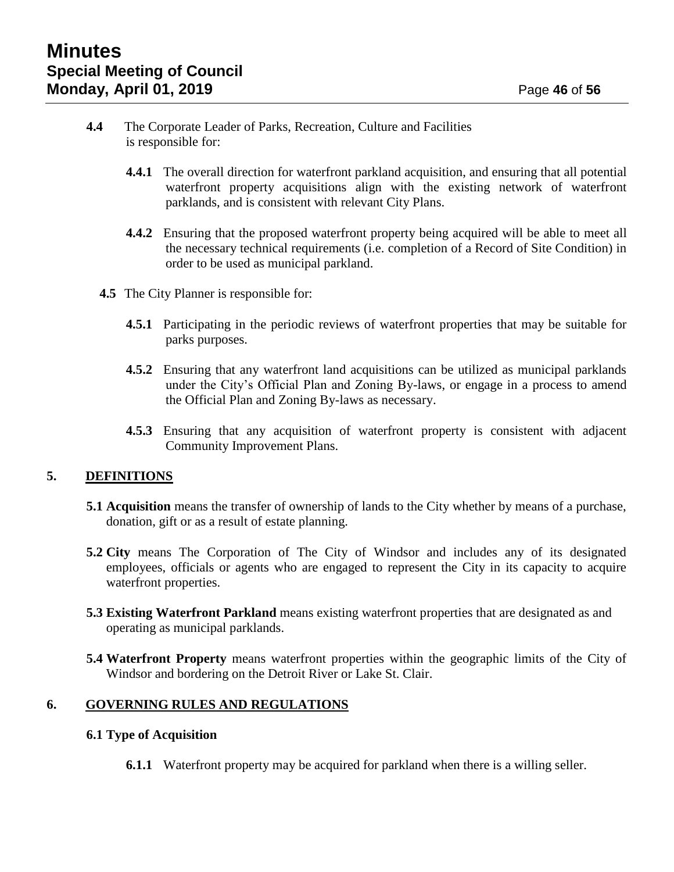- **4.4** The Corporate Leader of Parks, Recreation, Culture and Facilities is responsible for:
	- **4.4.1** The overall direction for waterfront parkland acquisition, and ensuring that all potential waterfront property acquisitions align with the existing network of waterfront parklands, and is consistent with relevant City Plans.
	- **4.4.2** Ensuring that the proposed waterfront property being acquired will be able to meet all the necessary technical requirements (i.e. completion of a Record of Site Condition) in order to be used as municipal parkland.
	- **4.5** The City Planner is responsible for:
		- **4.5.1** Participating in the periodic reviews of waterfront properties that may be suitable for parks purposes.
		- **4.5.2** Ensuring that any waterfront land acquisitions can be utilized as municipal parklands under the City's Official Plan and Zoning By-laws, or engage in a process to amend the Official Plan and Zoning By-laws as necessary.
		- **4.5.3** Ensuring that any acquisition of waterfront property is consistent with adjacent Community Improvement Plans.

#### **5. DEFINITIONS**

- **5.1 Acquisition** means the transfer of ownership of lands to the City whether by means of a purchase, donation, gift or as a result of estate planning.
- **5.2 City** means The Corporation of The City of Windsor and includes any of its designated employees, officials or agents who are engaged to represent the City in its capacity to acquire waterfront properties.
- **5.3 Existing Waterfront Parkland** means existing waterfront properties that are designated as and operating as municipal parklands.
- **5.4 Waterfront Property** means waterfront properties within the geographic limits of the City of Windsor and bordering on the Detroit River or Lake St. Clair.

#### **6. GOVERNING RULES AND REGULATIONS**

#### **6.1 Type of Acquisition**

**6.1.1** Waterfront property may be acquired for parkland when there is a willing seller.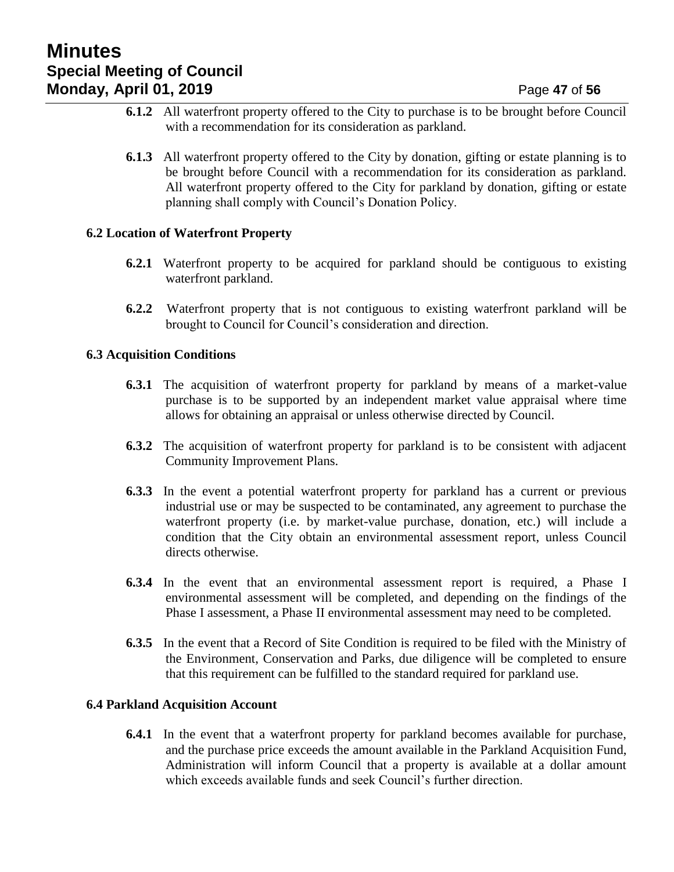- **6.1.2** All waterfront property offered to the City to purchase is to be brought before Council with a recommendation for its consideration as parkland.
- **6.1.3** All waterfront property offered to the City by donation, gifting or estate planning is to be brought before Council with a recommendation for its consideration as parkland. All waterfront property offered to the City for parkland by donation, gifting or estate planning shall comply with Council's Donation Policy.

#### **6.2 Location of Waterfront Property**

- **6.2.1** Waterfront property to be acquired for parkland should be contiguous to existing waterfront parkland.
- **6.2.2** Waterfront property that is not contiguous to existing waterfront parkland will be brought to Council for Council's consideration and direction.

#### **6.3 Acquisition Conditions**

- **6.3.1** The acquisition of waterfront property for parkland by means of a market-value purchase is to be supported by an independent market value appraisal where time allows for obtaining an appraisal or unless otherwise directed by Council.
- **6.3.2** The acquisition of waterfront property for parkland is to be consistent with adjacent Community Improvement Plans.
- **6.3.3** In the event a potential waterfront property for parkland has a current or previous industrial use or may be suspected to be contaminated, any agreement to purchase the waterfront property (i.e. by market-value purchase, donation, etc.) will include a condition that the City obtain an environmental assessment report, unless Council directs otherwise.
- **6.3.4** In the event that an environmental assessment report is required, a Phase I environmental assessment will be completed, and depending on the findings of the Phase I assessment, a Phase II environmental assessment may need to be completed.
- **6.3.5** In the event that a Record of Site Condition is required to be filed with the Ministry of the Environment, Conservation and Parks, due diligence will be completed to ensure that this requirement can be fulfilled to the standard required for parkland use.

#### **6.4 Parkland Acquisition Account**

**6.4.1** In the event that a waterfront property for parkland becomes available for purchase, and the purchase price exceeds the amount available in the Parkland Acquisition Fund, Administration will inform Council that a property is available at a dollar amount which exceeds available funds and seek Council's further direction.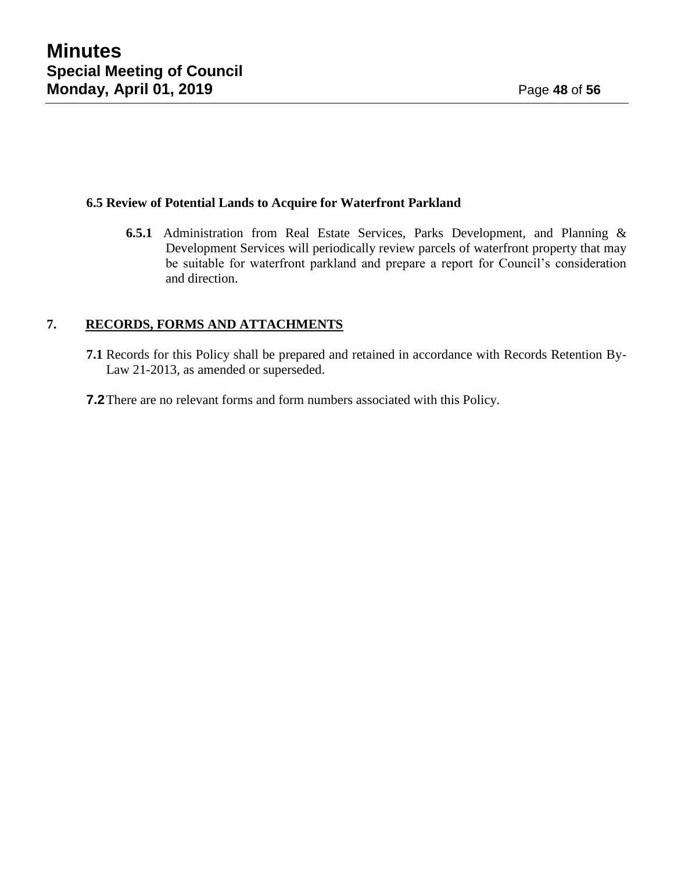#### **6.5 Review of Potential Lands to Acquire for Waterfront Parkland**

**6.5.1** Administration from Real Estate Services, Parks Development, and Planning & Development Services will periodically review parcels of waterfront property that may be suitable for waterfront parkland and prepare a report for Council's consideration and direction.

#### **7. RECORDS, FORMS AND ATTACHMENTS**

- **7.1** Records for this Policy shall be prepared and retained in accordance with Records Retention By-Law 21-2013, as amended or superseded.
- **7.2**There are no relevant forms and form numbers associated with this Policy.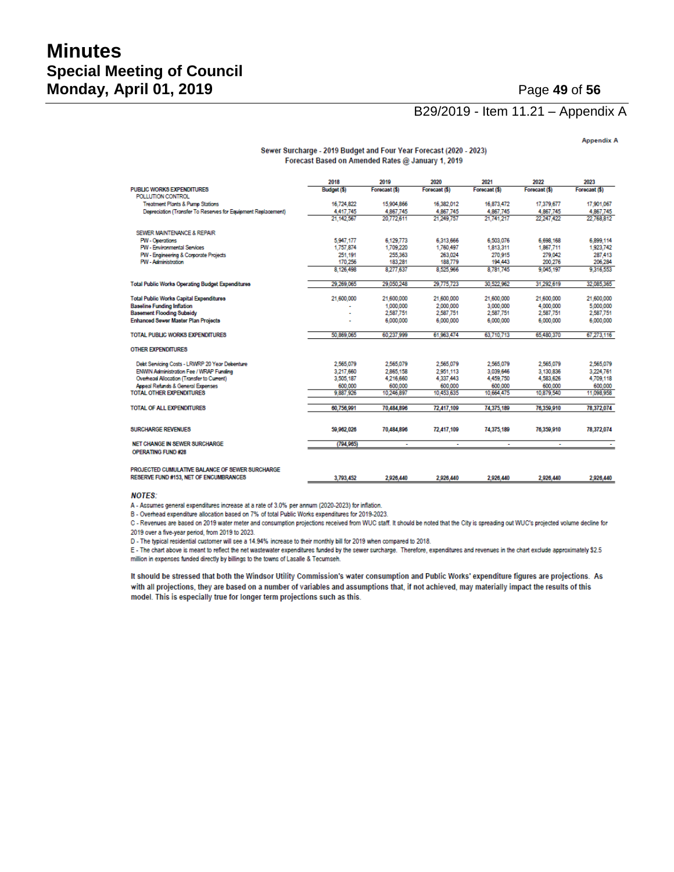# **Minutes Special Meeting of Council Monday, April 01, 2019 Page 49 of 56**

#### B29/2019 - Item 11.21 – Appendix A

**Appendix A** 

#### Sewer Surcharge - 2019 Budget and Four Year Forecast (2020 - 2023) Forecast Based on Amended Rates @ January 1, 2019

|                                                               | 2018        | 2019          | 2020          | 2021          | 2022          | 2023          |
|---------------------------------------------------------------|-------------|---------------|---------------|---------------|---------------|---------------|
| <b>PUBLIC WORKS EXPENDITURES</b>                              | Budget (\$) | Forecast (\$) | Forecast (\$) | Forecast (\$) | Forecast (\$) | Forecast (\$) |
| POLLUTION CONTROL                                             |             |               |               |               |               |               |
| <b>Treatment Plants &amp; Pump Stations</b>                   | 16.724.822  | 15,904,866    | 16.382.012    | 16.873.472    | 17.379.677    | 17.901.067    |
| Depreciation (Transfer To Reserves for Equipment Replacement) | 4.417.745   | 4.867.745     | 4.867.745     | 4.867.745     | 4.867.745     | 4.867.745     |
|                                                               | 21.142.567  | 20.772.611    | 21.249.757    | 21.741.217    | 22 247 422    | 22.768.812    |
| SEWER MAINTENANCE & REPAIR                                    |             |               |               |               |               |               |
| <b>PW - Operations</b>                                        | 5.947.177   | 6.129.773     | 6,313,666     | 6,503,076     | 6.698.168     | 6,899,114     |
| <b>PW - Environmental Services</b>                            | 1,757,874   | 1,709,220     | 1,760,497     | 1,813,311     | 1,867,711     | 1,923,742     |
| PW - Engineering & Corporate Projects                         | 251,191     | 255,363       | 263.024       | 270,915       | 279.042       | 287,413       |
| <b>PW</b> - Administration                                    | 170.256     | 183,281       | 188,779       | 194,443       | 200.276       | 206,284       |
|                                                               | 8.126.498   | 8,277,637     | 8.525.966     | 8.781.745     | 9.045.197     | 9.316,553     |
| <b>Total Public Works Operating Budget Expenditures</b>       | 29.269.065  | 29.050.248    | 29.775.723    | 30.522.962    | 31,292.619    | 32,085,365    |
| <b>Total Public Works Capital Expenditures</b>                | 21,600,000  | 21,600,000    | 21,600,000    | 21,600,000    | 21,600,000    | 21,600,000    |
| <b>Baseline Funding Inflation</b>                             |             | 1,000,000     | 2.000.000     | 3,000,000     | 4.000.000     | 5,000,000     |
| <b>Basement Flooding Subsidy</b>                              |             | 2,587,751     | 2,587,751     | 2,587,751     | 2,587,751     | 2,587,751     |
| <b>Enhanced Sewer Master Plan Projects</b>                    |             | 6,000,000     | 6,000,000     | 6.000.000     | 6.000.000     | 6,000,000     |
| <b>TOTAL PUBLIC WORKS EXPENDITURES</b>                        | 50.869.065  | 60.237.999    | 61.963.474    | 63.710.713    | 65,480,370    | 67.273.116    |
| <b>OTHER EXPENDITURES</b>                                     |             |               |               |               |               |               |
| Debt Servicing Costs - LRWRP 20 Year Debenture                | 2.565.079   | 2,565,079     | 2.565.079     | 2.565.079     | 2.565.079     | 2,565,079     |
| ENWIN Administration Fee / WRAP Funding                       | 3.217.660   | 2.865.158     | 2.951.113     | 3.039.646     | 3.130.836     | 3,224,761     |
| Overhead Allocation (Transfer to Current)                     | 3,505,187   | 4,216,660     | 4,337,443     | 4,459,750     | 4,583,626     | 4,709,118     |
| Appeal Refunds & General Expenses                             | 600.000     | 600,000       | 600,000       | 600.000       | 600.000       | 600.000       |
| <b>TOTAL OTHER EXPENDITURES</b>                               | 9.887.926   | 10.246.897    | 10.453,635    | 10.664.475    | 10.879.540    | 11.098.958    |
| <b>TOTAL OF ALL EXPENDITURES</b>                              | 60.756.991  | 70,484,896    | 72,417.109    | 74.375.189    | 76.359,910    | 78.372.074    |
|                                                               |             |               |               |               |               |               |
| <b>SURCHARGE REVENUES</b>                                     | 59.962.026  | 70,484,896    | 72,417,109    | 74,375,189    | 76,359,910    | 78,372,074    |
| <b>NET CHANGE IN SEWER SURCHARGE</b>                          | (794.965)   | ×.            | ٠             | ÷             | ÷             |               |
| OPERATING FUND #28                                            |             |               |               |               |               |               |
| PROJECTED CUMULATIVE BALANCE OF SEWER SURCHARGE               |             |               |               |               |               |               |
| <b>RESERVE FUND #153. NET OF ENCUMBRANCES</b>                 | 3.793.452   | 2926440       | 2.926.440     | 2 9 2 6 4 4 0 | 2926440       | 2926440       |

#### **NOTES:**

A - Assumes general expenditures increase at a rate of 3.0% per annum (2020-2023) for inflation.

B - Overhead expenditure allocation based on 7% of total Public Works expenditures for 2019-2023.

C - Revenues are based on 2019 water meter and consumption projections received from WUC staff. It should be noted that the City is spreading out WUC's projected volume decline for 2019 over a five-year period, from 2019 to 2023.

D - The typical residential customer will see a 14.94% increase to their monthly bill for 2019 when compared to 2018.

E - The chart above is meant to reflect the net wastewater expenditures funded by the sewer surcharge. Therefore, expenditures and revenues in the chart exclude approximately \$2.5 million in expenses funded directly by billings to the towns of Lasalle & Tecumseh.

It should be stressed that both the Windsor Utility Commission's water consumption and Public Works' expenditure figures are projections. As with all projections, they are based on a number of variables and assumptions that, if not achieved, may materially impact the results of this model. This is especially true for longer term projections such as this.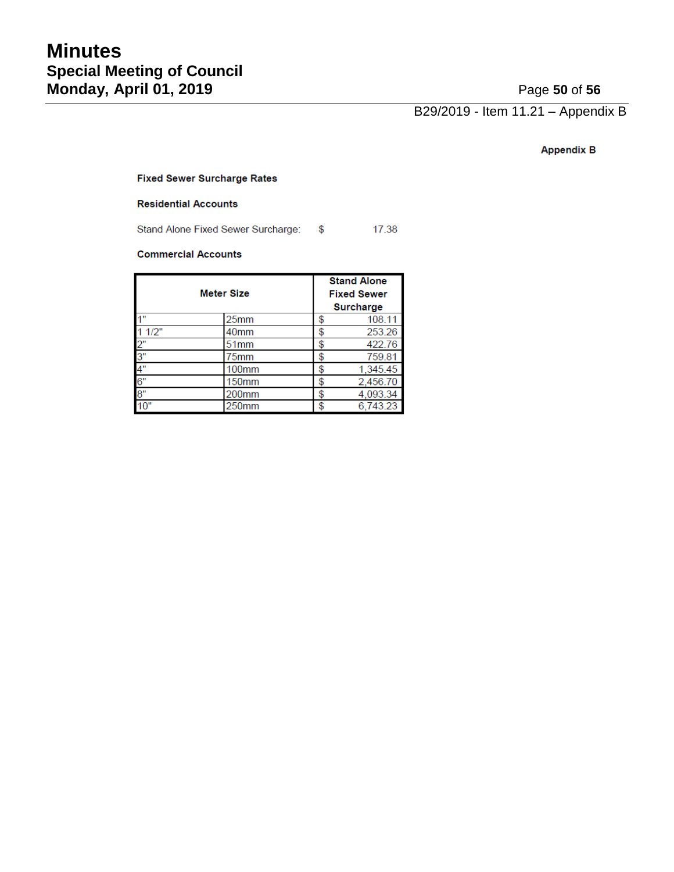B29/2019 - Item 11.21 – Appendix B

#### **Appendix B**

#### **Fixed Sewer Surcharge Rates**

#### **Residential Accounts**

Stand Alone Fixed Sewer Surcharge: \$ 17.38

#### **Commercial Accounts**

|       |                   |    | <b>Stand Alone</b> |
|-------|-------------------|----|--------------------|
|       | <b>Meter Size</b> |    | <b>Fixed Sewer</b> |
|       |                   |    | <b>Surcharge</b>   |
| 4"    | 25 <sub>mm</sub>  | \$ | 108.11             |
| 11/2" | 40 <sub>mm</sub>  | \$ | 253.26             |
| 2"    | 51 <sub>mm</sub>  | \$ | 422.76             |
| 3"    | 75mm              | \$ | 759.81             |
| 4"    | 100mm             | \$ | 1,345.45           |
| 6"    | <b>150mm</b>      | \$ | 2,456.70           |
| 8"    | 200mm             | \$ | 4,093.34           |
| 10"   | 250mm             | \$ | 6,743.23           |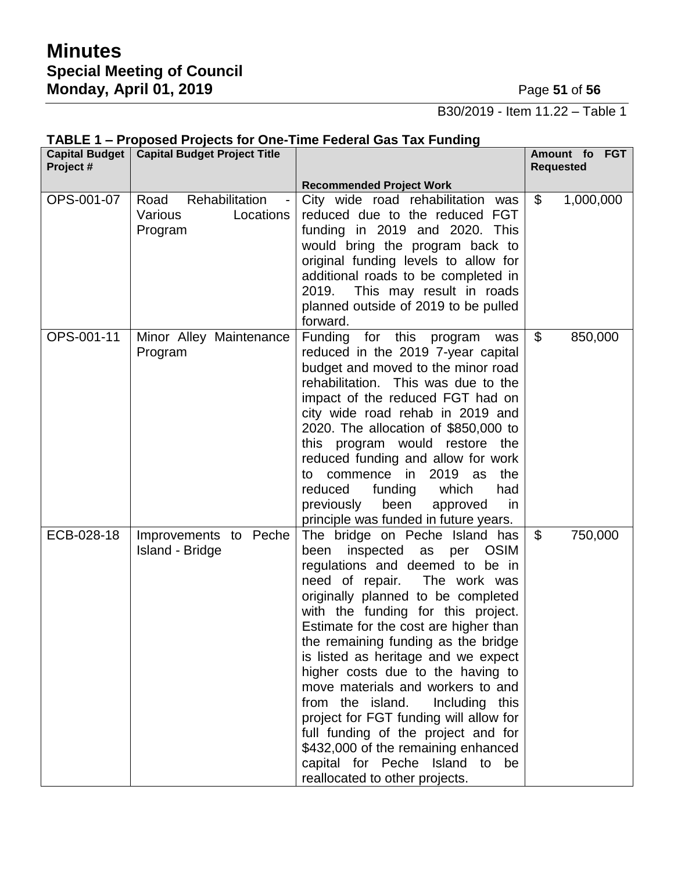B30/2019 - Item 11.22 – Table 1

| Project #  | Capital Budget   Capital Budget Project Title             | <b>THE PRODUCT IS ON THE TIME I CASTAL OND THAT MINITIS</b>                                                                                                                                                                                                                                                                                                                                                                                                                                                                                                                                                                                                       | Amount fo FGT<br><b>Requested</b> |
|------------|-----------------------------------------------------------|-------------------------------------------------------------------------------------------------------------------------------------------------------------------------------------------------------------------------------------------------------------------------------------------------------------------------------------------------------------------------------------------------------------------------------------------------------------------------------------------------------------------------------------------------------------------------------------------------------------------------------------------------------------------|-----------------------------------|
|            |                                                           | <b>Recommended Project Work</b>                                                                                                                                                                                                                                                                                                                                                                                                                                                                                                                                                                                                                                   |                                   |
| OPS-001-07 | Rehabilitation<br>Road<br>Various<br>Locations<br>Program | City wide road rehabilitation was<br>reduced due to the reduced FGT<br>funding in 2019 and 2020. This<br>would bring the program back to<br>original funding levels to allow for<br>additional roads to be completed in<br>2019.<br>This may result in roads<br>planned outside of 2019 to be pulled<br>forward.                                                                                                                                                                                                                                                                                                                                                  | $\mathfrak{L}$<br>1,000,000       |
| OPS-001-11 | Minor Alley Maintenance<br>Program                        | Funding for this program<br>was<br>reduced in the 2019 7-year capital<br>budget and moved to the minor road<br>rehabilitation. This was due to the<br>impact of the reduced FGT had on<br>city wide road rehab in 2019 and<br>2020. The allocation of \$850,000 to<br>this program would restore the<br>reduced funding and allow for work<br>2019 as<br>the<br>commence in<br>to<br>reduced<br>which<br>funding<br>had<br>previously<br>been<br>approved<br>in.<br>principle was funded in future years.                                                                                                                                                         | \$<br>850,000                     |
| ECB-028-18 | Improvements to Peche<br><b>Island - Bridge</b>           | The bridge on Peche Island has<br>inspected as<br>been<br>per<br><b>OSIM</b><br>regulations and deemed to be in<br>need of repair.<br>The work was<br>originally planned to be completed<br>with the funding for this project.<br>Estimate for the cost are higher than<br>the remaining funding as the bridge<br>is listed as heritage and we expect<br>higher costs due to the having to<br>move materials and workers to and<br>from the island.<br>Including this<br>project for FGT funding will allow for<br>full funding of the project and for<br>\$432,000 of the remaining enhanced<br>capital for Peche Island to be<br>reallocated to other projects. | \$<br>750,000                     |

## **TABLE 1 – Proposed Projects for One-Time Federal Gas Tax Funding**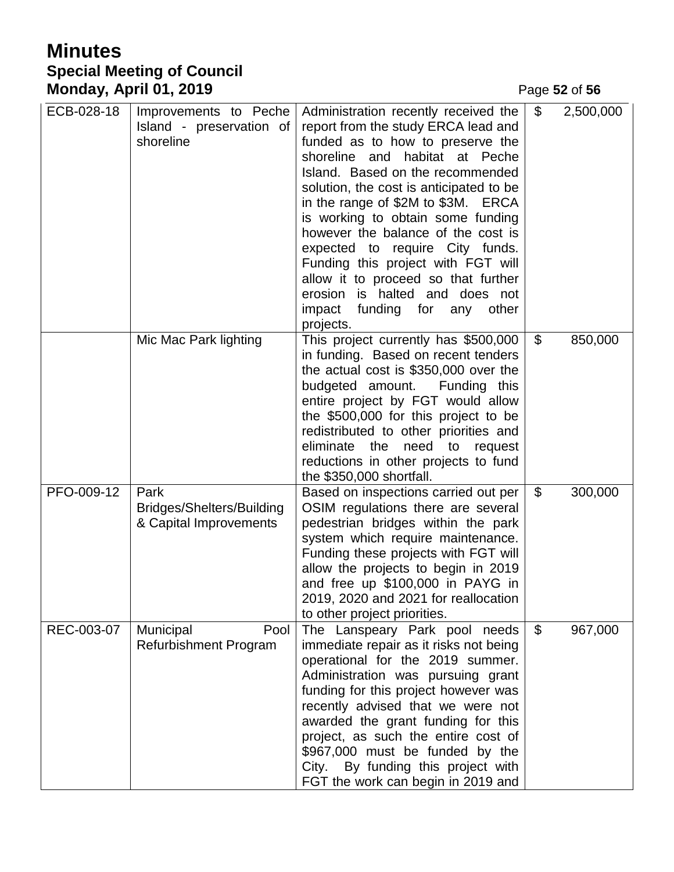# **Minutes Special Meeting of Council Monday, April 01, 2019 Page 52** of 56

| ECB-028-18 | Improvements to Peche<br>Island - preservation of<br>shoreline     | Administration recently received the<br>report from the study ERCA lead and<br>funded as to how to preserve the<br>shoreline and habitat at Peche<br>Island. Based on the recommended<br>solution, the cost is anticipated to be<br>in the range of \$2M to \$3M. ERCA<br>is working to obtain some funding<br>however the balance of the cost is<br>expected to require City funds.<br>Funding this project with FGT will<br>allow it to proceed so that further<br>erosion is halted and does not<br>impact funding for any<br>other<br>projects. | \$             | 2,500,000 |
|------------|--------------------------------------------------------------------|-----------------------------------------------------------------------------------------------------------------------------------------------------------------------------------------------------------------------------------------------------------------------------------------------------------------------------------------------------------------------------------------------------------------------------------------------------------------------------------------------------------------------------------------------------|----------------|-----------|
|            | Mic Mac Park lighting                                              | This project currently has \$500,000<br>in funding. Based on recent tenders<br>the actual cost is \$350,000 over the<br>budgeted amount.<br>Funding this<br>entire project by FGT would allow<br>the \$500,000 for this project to be<br>redistributed to other priorities and<br>eliminate<br>the<br>need to<br>request<br>reductions in other projects to fund<br>the \$350,000 shortfall.                                                                                                                                                        | \$             | 850,000   |
| PFO-009-12 | Park<br><b>Bridges/Shelters/Building</b><br>& Capital Improvements | Based on inspections carried out per<br>OSIM regulations there are several<br>pedestrian bridges within the park<br>system which require maintenance.<br>Funding these projects with FGT will<br>allow the projects to begin in 2019<br>and free up \$100,000 in PAYG in<br>2019, 2020 and 2021 for reallocation<br>to other project priorities.                                                                                                                                                                                                    | \$             | 300,000   |
| REC-003-07 | Municipal<br>Pool<br><b>Refurbishment Program</b>                  | The Lanspeary Park pool needs<br>immediate repair as it risks not being<br>operational for the 2019 summer.<br>Administration was pursuing grant<br>funding for this project however was<br>recently advised that we were not<br>awarded the grant funding for this<br>project, as such the entire cost of<br>\$967,000 must be funded by the<br>City. By funding this project with<br>FGT the work can begin in 2019 and                                                                                                                           | $\mathfrak{S}$ | 967,000   |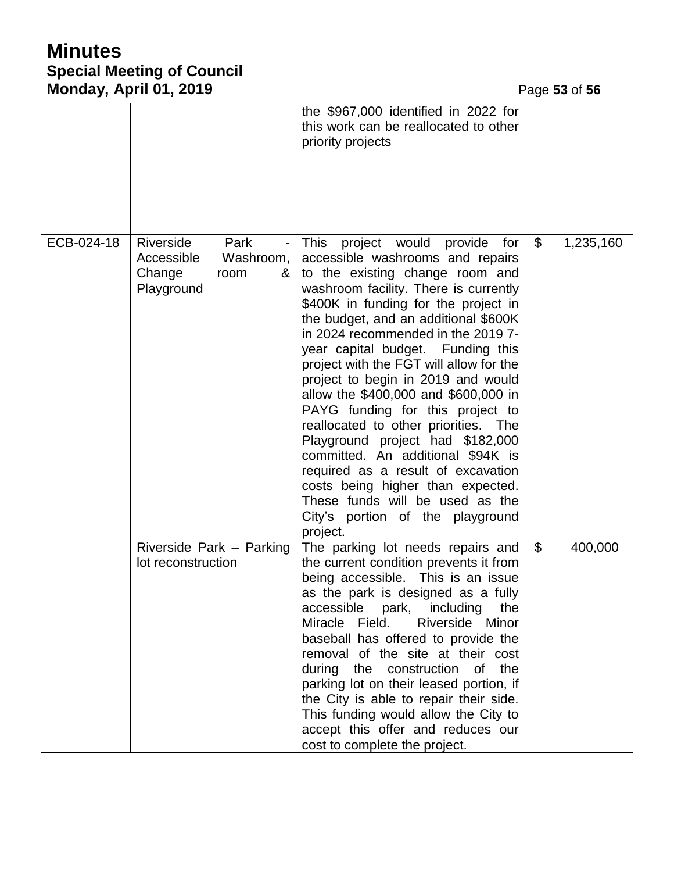# **Minutes Special Meeting of Council Monday, April 01, 2019 Page 53** of 56

|            |                                                                                   | the \$967,000 identified in 2022 for<br>this work can be reallocated to other<br>priority projects                                                                                                                                                                                                                                                                                                                                                                                                                                                                                                                                                                                                                                                       |                |           |
|------------|-----------------------------------------------------------------------------------|----------------------------------------------------------------------------------------------------------------------------------------------------------------------------------------------------------------------------------------------------------------------------------------------------------------------------------------------------------------------------------------------------------------------------------------------------------------------------------------------------------------------------------------------------------------------------------------------------------------------------------------------------------------------------------------------------------------------------------------------------------|----------------|-----------|
| ECB-024-18 | Riverside<br>Park<br>Accessible<br>Washroom,<br>Change<br>&<br>room<br>Playground | This<br>project would provide for<br>accessible washrooms and repairs<br>to the existing change room and<br>washroom facility. There is currently<br>\$400K in funding for the project in<br>the budget, and an additional \$600K<br>in 2024 recommended in the 2019 7-<br>year capital budget. Funding this<br>project with the FGT will allow for the<br>project to begin in 2019 and would<br>allow the \$400,000 and \$600,000 in<br>PAYG funding for this project to<br>reallocated to other priorities. The<br>Playground project had \$182,000<br>committed. An additional \$94K is<br>required as a result of excavation<br>costs being higher than expected.<br>These funds will be used as the<br>City's portion of the playground<br>project. | $\mathfrak{S}$ | 1,235,160 |
|            | Riverside Park - Parking<br>lot reconstruction                                    | The parking lot needs repairs and<br>the current condition prevents it from<br>being accessible. This is an issue<br>as the park is designed as a fully<br>accessible park, including<br>the<br>Riverside Minor<br>Miracle Field.<br>baseball has offered to provide the<br>removal of the site at their cost<br>during the construction of the<br>parking lot on their leased portion, if<br>the City is able to repair their side.<br>This funding would allow the City to<br>accept this offer and reduces our<br>cost to complete the project.                                                                                                                                                                                                       | \$             | 400,000   |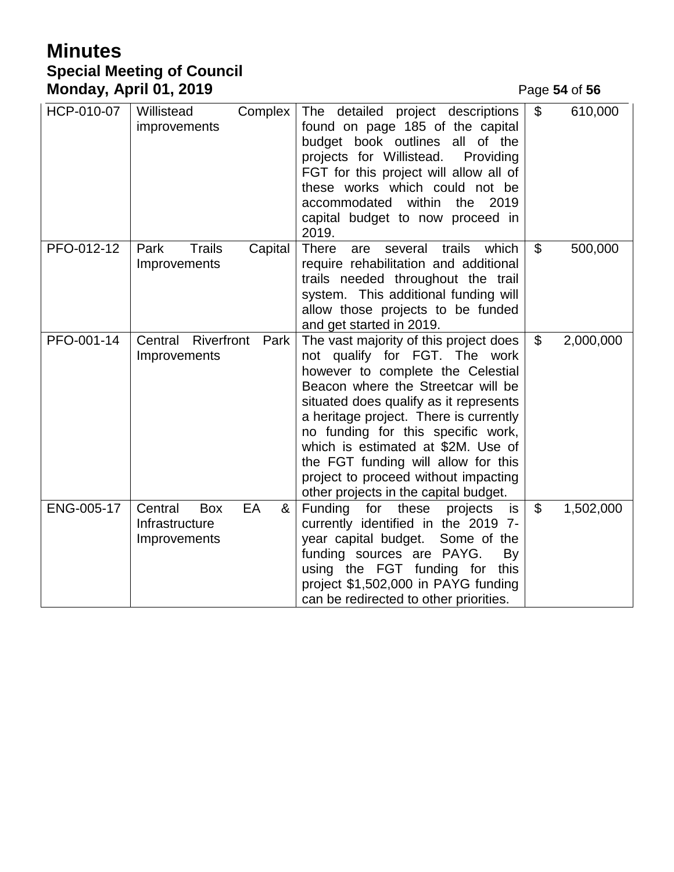# **Minutes Special Meeting of Council Monday, April 01, 2019 Page 54** of 56

| HCP-010-07 | Willistead<br>Complex<br>improvements                              | The detailed project descriptions<br>found on page 185 of the capital<br>budget book outlines all of the<br>projects for Willistead.<br>Providing<br>FGT for this project will allow all of<br>these works which could not be<br>accommodated<br>within<br>the<br>2019<br>capital budget to now proceed in<br>2019.                                                                                                                        | \$                        | 610,000   |
|------------|--------------------------------------------------------------------|--------------------------------------------------------------------------------------------------------------------------------------------------------------------------------------------------------------------------------------------------------------------------------------------------------------------------------------------------------------------------------------------------------------------------------------------|---------------------------|-----------|
| PFO-012-12 | <b>Trails</b><br>Park<br>Capital<br>Improvements                   | <b>There</b><br>trails<br>which<br>several<br>are<br>require rehabilitation and additional<br>trails needed throughout the trail<br>system. This additional funding will<br>allow those projects to be funded<br>and get started in 2019.                                                                                                                                                                                                  | $\mathfrak{S}$            | 500,000   |
| PFO-001-14 | Central Riverfront<br>Park<br>Improvements                         | The vast majority of this project does<br>not qualify for FGT. The work<br>however to complete the Celestial<br>Beacon where the Streetcar will be<br>situated does qualify as it represents<br>a heritage project. There is currently<br>no funding for this specific work,<br>which is estimated at \$2M. Use of<br>the FGT funding will allow for this<br>project to proceed without impacting<br>other projects in the capital budget. | $\mathcal{L}$             | 2,000,000 |
| ENG-005-17 | Central<br>EA<br><b>Box</b><br>&<br>Infrastructure<br>Improvements | Funding<br>for<br>these<br>projects<br>is<br>currently identified in the 2019 7-<br>year capital budget.<br>Some of the<br>funding sources are PAYG.<br>By<br>using the FGT funding for<br>this<br>project \$1,502,000 in PAYG funding<br>can be redirected to other priorities.                                                                                                                                                           | $\boldsymbol{\mathsf{S}}$ | 1,502,000 |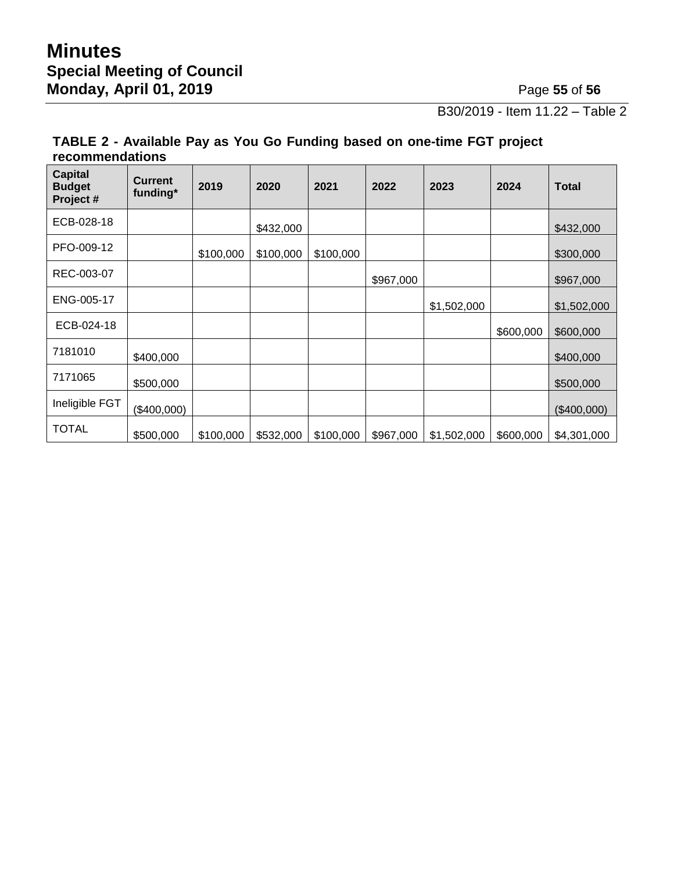B30/2019 - Item 11.22 – Table 2

### **TABLE 2 - Available Pay as You Go Funding based on one-time FGT project recommendations**

| <b>Capital</b><br><b>Budget</b><br>Project # | <b>Current</b><br>funding* | 2019      | 2020      | 2021      | 2022      | 2023        | 2024      | <b>Total</b> |
|----------------------------------------------|----------------------------|-----------|-----------|-----------|-----------|-------------|-----------|--------------|
| ECB-028-18                                   |                            |           | \$432,000 |           |           |             |           | \$432,000    |
| PFO-009-12                                   |                            | \$100,000 | \$100,000 | \$100,000 |           |             |           | \$300,000    |
| REC-003-07                                   |                            |           |           |           | \$967,000 |             |           | \$967,000    |
| ENG-005-17                                   |                            |           |           |           |           | \$1,502,000 |           | \$1,502,000  |
| ECB-024-18                                   |                            |           |           |           |           |             | \$600,000 | \$600,000    |
| 7181010                                      | \$400,000                  |           |           |           |           |             |           | \$400,000    |
| 7171065                                      | \$500,000                  |           |           |           |           |             |           | \$500,000    |
| Ineligible FGT                               | (\$400,000)                |           |           |           |           |             |           | (\$400,000)  |
| <b>TOTAL</b>                                 | \$500,000                  | \$100,000 | \$532,000 | \$100,000 | \$967,000 | \$1,502,000 | \$600,000 | \$4,301,000  |